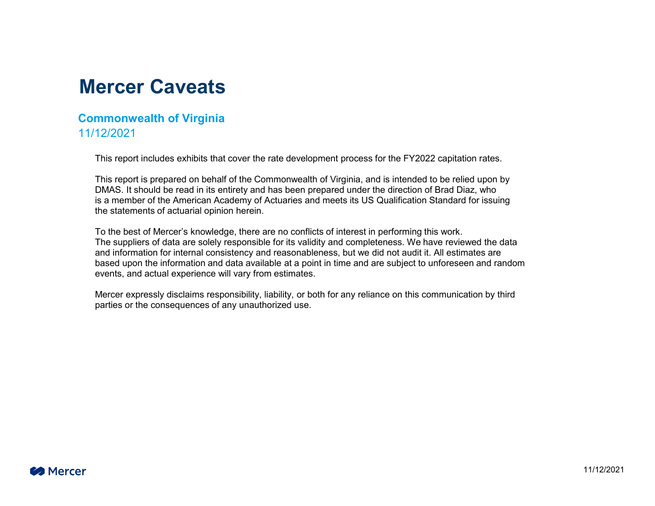### **Mercer Caveats**

#### **Commonwealth of Virginia** 11/12/2021

This report includes exhibits that cover the rate development process for the FY2022 capitation rates.

This report is prepared on behalf of the Commonwealth of Virginia, and is intended to be relied upon by DMAS. It should be read in its entirety and has been prepared under the direction of Brad Diaz, who is a member of the American Academy of Actuaries and meets its US Qualification Standard for issuing the statements of actuarial opinion herein.

To the best of Mercer's knowledge, there are no conflicts of interest in performing this work. The suppliers of data are solely responsible for its validity and completeness. We have reviewed the data and information for internal consistency and reasonableness, but we did not audit it. All estimates are based upon the information and data available at a point in time and are subject to unforeseen and random events, and actual experience will vary from estimates.

Mercer expressly disclaims responsibility, liability, or both for any reliance on this communication by third parties or the consequences of any unauthorized use.

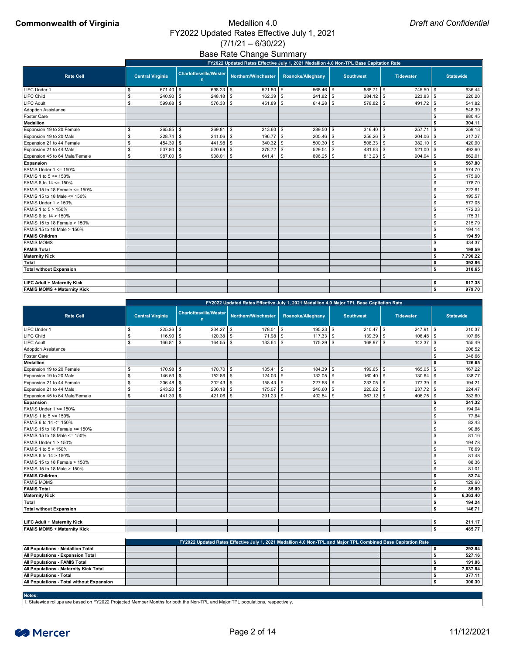# $(7/1/21 - 6/30/22)$

## Base Rate Change Summary

|                                       |                         |             | FY2022 Updated Rates Effective July 1, 2021 Medallion 4.0 Non-TPL Base Capitation Rate |               |                  |                  |                  |
|---------------------------------------|-------------------------|-------------|----------------------------------------------------------------------------------------|---------------|------------------|------------------|------------------|
| <b>Rate Cell</b>                      | <b>Central Virginia</b> |             | Charlottesville/Wester Northern/Winchester Roanoke/Alleghany                           |               | <b>Southwest</b> | <b>Tidewater</b> | <b>Statewide</b> |
| LIFC Under 1                          | $671.40$ \ \$           | 698.23      | $521.80$ \$                                                                            | $568.46$ \ \$ | $588.71$ \\$     | $745.50$ \\$     | 636.44           |
| LIFC Child                            | 240.90                  | 248.18      | $162.39$ \$                                                                            | $241.82$ \ \$ | $284.12$ \$      | 223.83           | 220.20           |
| LIFC Adult                            | 599.88                  | 576.33      | $451.89$ \$                                                                            | $614.28$ \ \$ | $578.82$ \$      | $491.72$ \$      | 541.82           |
| <b>Adoption Assistance</b>            |                         |             |                                                                                        |               |                  |                  | 548.39           |
| <b>Foster Care</b>                    |                         |             |                                                                                        |               |                  |                  | 880.45           |
| Medallion                             |                         |             |                                                                                        |               |                  |                  | 304.11           |
| Expansion 19 to 20 Female             | $265.85$ \$             | 269.81      | $213.60$ \ \$                                                                          | $289.50$ \$   | $316.40$ \ \$    | 257.71           | 259.13           |
| Expansion 19 to 20 Male               | $228.74$ \\$            | 241.06      | $196.77$ \$                                                                            | $205.46$ \$   | $256.26$ \$      | 204.06           | 217.27           |
| Expansion 21 to 44 Female             | 454.39                  | 441.98      | $340.32$ \$                                                                            | $500.30$ \$   | $508.33$ \$      | $382.10$ \ \$    | 420.90           |
| Expansion 21 to 44 Male               | $537.80$ \\$            | 520.69      | $378.72$ \$                                                                            | $529.54$ \\$  | $481.63$ \$      | $521.00$ \$      | 492.60           |
| Expansion 45 to 64 Male/Female        | $987.00$ \$             | $938.01$ \$ | $641.41$ \\$                                                                           | $896.25$ \$   | $813.23$ \$      | $904.94$ \$      | 862.01           |
| Expansion                             |                         |             |                                                                                        |               |                  |                  | 567.80           |
| FAMIS Under 1 <= 150%                 |                         |             |                                                                                        |               |                  |                  | 574.70           |
| FAMIS 1 to 5 <= 150%                  |                         |             |                                                                                        |               |                  |                  | 175.90           |
| FAMIS 6 to 14 <= 150%                 |                         |             |                                                                                        |               |                  |                  | 178.70           |
| FAMIS 15 to 18 Female $\le$ 150%      |                         |             |                                                                                        |               |                  |                  | 222.61           |
| <b>FAMIS 15 to 18 Male &lt;= 150%</b> |                         |             |                                                                                        |               |                  |                  | 195.57           |
| FAMIS Under 1 > 150%                  |                         |             |                                                                                        |               |                  |                  | 577.05           |
| <b>FAMIS 1 to 5 &gt; 150%</b>         |                         |             |                                                                                        |               |                  |                  | 172.23           |
| <b>FAMIS 6 to 14 &gt; 150%</b>        |                         |             |                                                                                        |               |                  |                  | 175.31           |
| FAMIS 15 to 18 Female > 150%          |                         |             |                                                                                        |               |                  |                  | 215.79           |
| <b>FAMIS 15 to 18 Male &gt; 150%</b>  |                         |             |                                                                                        |               |                  |                  | 194.14           |
| <b>FAMIS Children</b>                 |                         |             |                                                                                        |               |                  |                  | 194.59<br>\$     |
| <b>FAMIS MOMS</b>                     |                         |             |                                                                                        |               |                  |                  | 434.37<br>\$     |
| <b>FAMIS Total</b>                    |                         |             |                                                                                        |               |                  |                  | 198.59           |
| <b>Maternity Kick</b>                 |                         |             |                                                                                        |               |                  |                  | 7,790.22<br>\$   |
| <b>Total</b>                          |                         |             |                                                                                        |               |                  |                  | 393.86<br>\$     |
| <b>Total without Expansion</b>        |                         |             |                                                                                        |               |                  |                  | 310.65<br>\$     |
| <b>LIFC Adult + Maternity Kick</b>    |                         |             |                                                                                        |               |                  |                  | 617.38<br>\$     |
| <b>FAMIS MOMS + Maternity Kick</b>    |                         |             |                                                                                        |               |                  |                  | 979.70<br>\$     |

|                                       |                         |                                               |             | FY2022 Updated Rates Effective July 1, 2021 Medallion 4.0 Major TPL Base Capitation Rate |                  |               |             |                  |
|---------------------------------------|-------------------------|-----------------------------------------------|-------------|------------------------------------------------------------------------------------------|------------------|---------------|-------------|------------------|
| <b>Rate Cell</b>                      | <b>Central Virginia</b> | <b>Charlottesville/Wester</b><br>$\mathsf{n}$ |             | Northern/Winchester   Roanoke/Alleghany                                                  | <b>Southwest</b> |               | Tidewater   | <b>Statewide</b> |
| LIFC Under 1                          | $225.36$ \ \$           | $234.27$ \\$                                  | $178.01$ \$ | 195.23                                                                                   |                  | $210.47$ \$   | $247.91$ \$ | 210.37           |
| LIFC Child                            | 116.90                  | $120.38$ \$<br>. ድ                            | $71.98$ \$  | $117.33$ \$                                                                              |                  | $139.39$ \$   | $106.48$ \$ | 107.66           |
| LIFC Adult                            | 166.81                  | $164.55$ \\$                                  | $133.64$ \$ | $175.29$ \$                                                                              |                  | $168.97$ \$   | $143.37$ \$ | 155.49           |
| <b>Adoption Assistance</b>            |                         |                                               |             |                                                                                          |                  |               |             | 206.52           |
| Foster Care                           |                         |                                               |             |                                                                                          |                  |               |             | 348.66           |
| <b>Medallion</b>                      |                         |                                               |             |                                                                                          |                  |               |             | 126.65<br>l \$   |
| Expansion 19 to 20 Female             | $170.98$ \$             | $170.70$ \\$                                  | $135.41$ \$ | 184.39                                                                                   |                  | $199.65$ \$   | $165.05$ \$ | 167.22           |
| Expansion 19 to 20 Male               | $146.53$ \$             | $152.86$ \$                                   | $124.03$ \$ | 132.05                                                                                   |                  | $160.40$ \ \$ | $130.64$ \$ | 138.77           |
| Expansion 21 to 44 Female             | $206.48$ \ \ \$         | $202.43$ \$                                   | $158.43$ \$ | $227.58$ \$                                                                              |                  | $233.05$ \$   | $177.39$ \$ | 194.21           |
| Expansion 21 to 44 Male               | $243.20$ \ \$           | $236.18$ \ \$                                 | $175.07$ \$ | 240.60                                                                                   |                  | $220.62$ \$   | $237.72$ \$ | 224.47           |
| Expansion 45 to 64 Male/Female        | $441.39$ \\$            | $421.06$ \$                                   | $291.23$ \$ | 402.54                                                                                   |                  | $367.12$ \$   | $406.75$ \$ | 382.60           |
| <b>Expansion</b>                      |                         |                                               |             |                                                                                          |                  |               |             | 241.32           |
| FAMIS Under $1 \le 150\%$             |                         |                                               |             |                                                                                          |                  |               |             | 194.04           |
| <b>FAMIS 1 to 5 &lt;= 150%</b>        |                         |                                               |             |                                                                                          |                  |               |             | 77.84            |
| FAMIS 6 to 14 <= 150%                 |                         |                                               |             |                                                                                          |                  |               |             | 82.43            |
| FAMIS 15 to 18 Female $\le$ 150%      |                         |                                               |             |                                                                                          |                  |               |             | 90.86            |
| <b>FAMIS 15 to 18 Male &lt;= 150%</b> |                         |                                               |             |                                                                                          |                  |               |             | 81.16            |
| FAMIS Under 1 > 150%                  |                         |                                               |             |                                                                                          |                  |               |             | 194.78           |
| <b>FAMIS 1 to 5 &gt; 150%</b>         |                         |                                               |             |                                                                                          |                  |               |             | 76.69            |
| FAMIS 6 to 14 > 150%                  |                         |                                               |             |                                                                                          |                  |               |             | 81.48            |
| FAMIS 15 to 18 Female > 150%          |                         |                                               |             |                                                                                          |                  |               |             | 88.36            |
| <b>FAMIS 15 to 18 Male &gt; 150%</b>  |                         |                                               |             |                                                                                          |                  |               |             | 81.01            |
| <b>FAMIS Children</b>                 |                         |                                               |             |                                                                                          |                  |               |             | 82.74<br>l \$    |
| <b>FAMIS MOMS</b>                     |                         |                                               |             |                                                                                          |                  |               |             | 129.60<br>\$     |
| <b>FAMIS Total</b>                    |                         |                                               |             |                                                                                          |                  |               |             | 85.09<br>\$      |
| <b>Maternity Kick</b>                 |                         |                                               |             |                                                                                          |                  |               |             | 6,363.40<br>l \$ |
| <b>Total</b>                          |                         |                                               |             |                                                                                          |                  |               |             | 194.24<br>l Si   |
| <b>Total without Expansion</b>        |                         |                                               |             |                                                                                          |                  |               |             | 146.71           |

| <b>LIFC Adult + Maternity Kick</b> |  |  |  | 244.47<br><u>.</u> |
|------------------------------------|--|--|--|--------------------|
| <b>FAMIS MOMS + Maternity Kick</b> |  |  |  | 485.77             |

|                                                  |  |  | FY2022 Updated Rates Effective July 1, 2021 Medallion 4.0 Non-TPL and Major TPL Combined Base Capitation Rate |          |
|--------------------------------------------------|--|--|---------------------------------------------------------------------------------------------------------------|----------|
| <b>All Populations - Medallion Total</b>         |  |  |                                                                                                               | 292.84   |
| <b>All Populations - Expansion Total</b>         |  |  |                                                                                                               | 527.16   |
| <b>All Populations - FAMIS Total</b>             |  |  |                                                                                                               | 191.86   |
| <b>All Populations - Maternity Kick Total</b>    |  |  |                                                                                                               | 7,637.84 |
| <b>All Populations - Total</b>                   |  |  |                                                                                                               | 377.11   |
| <b>All Populations - Total without Expansion</b> |  |  |                                                                                                               | 300.30   |

#### **Notes:**

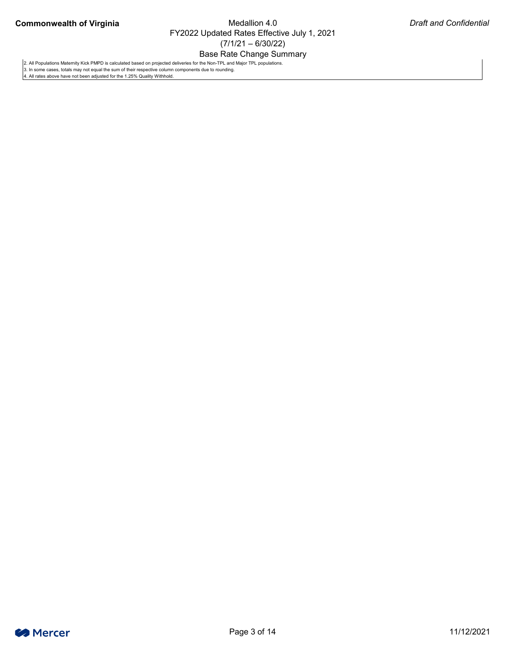### Base Rate Change Summary



2. All Populations Maternity Kick PMPD is calculated based on projected deliveries for the Non-TPL and Major TPL populations.

3. In some cases, totals may not equal the sum of their respective column components due to rounding.

4. All rates above have not been adjusted for the 1.25% Quality Withhold.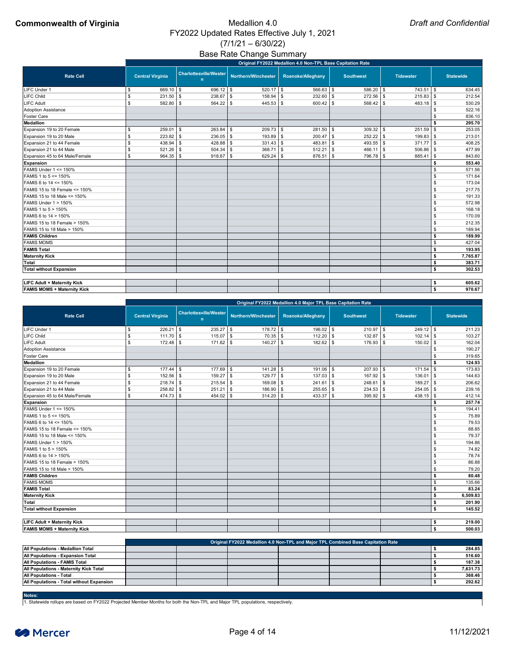## Base Rate Change Summary

### **Commonwealth of Virginia** Medallion 4.0 FY2022 Updated Rates Effective July 1, 2021  $(7/1/21 - 6/30/22)$

|                                    |                           | Original FY2022 Medallion 4.0 Non-TPL Base Capitation Rate |                                    |                      |                           |                      |               |                  |                  |  |  |  |  |  |
|------------------------------------|---------------------------|------------------------------------------------------------|------------------------------------|----------------------|---------------------------|----------------------|---------------|------------------|------------------|--|--|--|--|--|
| <b>Rate Cell</b>                   |                           | <b>Central Virginia</b>                                    | <b>Charlottesville/Wester</b><br>n | Northern/Winchester  | <b>Roanoke/Alleghany</b>  | <b>Southwest</b>     |               | <b>Tidewater</b> | <b>Statewide</b> |  |  |  |  |  |
| <b>LIFC Under 1</b>                | \$                        | $669.10$ \ \$                                              | $696.12$ \$                        | $520.17$ \\$         | $566.63$ \ \$             | $586.20$ \ \$        |               | $743.51$ \\$     | 634.45           |  |  |  |  |  |
| LIFC Child                         | $\boldsymbol{\mathsf{S}}$ | $231.50$ \ \$                                              | 238.67                             | $\sqrt{3}$<br>158.94 | $232.60$ \$<br><b>S</b>   | $272.56$ \$          |               | $215.83$ \$      | 212.54           |  |  |  |  |  |
| <b>LIFC Adult</b>                  | $\mathbb{S}$              | 582.80                                                     | $564.22$ \$<br>l \$                | $445.53$ \$          | $600.42$ \$               | $568.42$ \$          |               | $483.18$ \\$     | 530.29           |  |  |  |  |  |
| <b>Adoption Assistance</b>         |                           |                                                            |                                    |                      |                           |                      |               |                  | 522.16           |  |  |  |  |  |
| <b>Foster Care</b>                 |                           |                                                            |                                    |                      |                           |                      |               |                  | 836.10           |  |  |  |  |  |
| <b>Medallion</b>                   |                           |                                                            |                                    |                      |                           |                      |               |                  | 295.70           |  |  |  |  |  |
| Expansion 19 to 20 Female          | \$                        | 259.01                                                     | \$<br>263.84                       | $\sqrt{3}$<br>209.73 | $281.50$ \$<br>\$         | 309.32               | $\sqrt{3}$    | $251.59$ \$      | 253.05           |  |  |  |  |  |
| Expansion 19 to 20 Male            | $\frac{1}{2}$             | 223.82                                                     | $236.05$ \$<br>$\sqrt{3}$          | 193.89               | $200.47$ \$<br>\$         | 252.22               | $\sqrt{3}$    | $199.83$ \$      | 213.01           |  |  |  |  |  |
| Expansion 21 to 44 Female          | $\boldsymbol{\mathsf{S}}$ | 438.94                                                     | 428.88<br>-\$                      | 331.43<br>\$         | $483.81$ \ \$<br><b>S</b> | 493.55 $\frac{1}{9}$ |               | 371.77           | 408.25<br>l \$   |  |  |  |  |  |
| Expansion 21 to 44 Male            | $\sqrt[6]{\frac{1}{2}}$   | 521.26                                                     | 504.34<br>$\sqrt{3}$               | 368.71<br>$\sqrt{3}$ | 512.21<br>$\sqrt[6]{3}$   | 466.11<br>l S        | $\sqrt[6]{3}$ | $506.86$ \$      | 477.99           |  |  |  |  |  |
| Expansion 45 to 64 Male/Female     | $\mathfrak s$             | $964.35$ \$                                                | 918.67                             | 629.24<br>$\vert$ \$ | $876.51$ \$<br>  \$       | 796.78 \$            |               | $885.41$ \$      | 843.60           |  |  |  |  |  |
| <b>Expansion</b>                   |                           |                                                            |                                    |                      |                           |                      |               |                  | 553.40<br>\$     |  |  |  |  |  |
| <b>FAMIS Under 1 &lt;= 150%</b>    |                           |                                                            |                                    |                      |                           |                      |               |                  | 571.56<br>\$     |  |  |  |  |  |
| FAMIS 1 to 5 <= 150%               |                           |                                                            |                                    |                      |                           |                      |               |                  | 171.64           |  |  |  |  |  |
| FAMIS 6 to 14 <= 150%              |                           |                                                            |                                    |                      |                           |                      |               |                  | 173.04<br>\$     |  |  |  |  |  |
| FAMIS 15 to 18 Female $\le$ 150%   |                           |                                                            |                                    |                      |                           |                      |               |                  | 217.75<br>\$.    |  |  |  |  |  |
| FAMIS 15 to 18 Male <= 150%        |                           |                                                            |                                    |                      |                           |                      |               |                  | 191.33<br>\$     |  |  |  |  |  |
| <b>FAMIS Under 1 &gt; 150%</b>     |                           |                                                            |                                    |                      |                           |                      |               |                  | 572.98           |  |  |  |  |  |
| FAMIS 1 to 5 > 150%                |                           |                                                            |                                    |                      |                           |                      |               |                  | 168.18           |  |  |  |  |  |
| FAMIS 6 to 14 > 150%               |                           |                                                            |                                    |                      |                           |                      |               |                  | 170.09           |  |  |  |  |  |
| FAMIS 15 to 18 Female > 150%       |                           |                                                            |                                    |                      |                           |                      |               |                  | 212.35           |  |  |  |  |  |
| FAMIS 15 to 18 Male > 150%         |                           |                                                            |                                    |                      |                           |                      |               |                  | 189.94<br>\$.    |  |  |  |  |  |
| <b>FAMIS Children</b>              |                           |                                                            |                                    |                      |                           |                      |               |                  | 189.99<br>\$     |  |  |  |  |  |
| <b>FAMIS MOMS</b>                  |                           |                                                            |                                    |                      |                           |                      |               |                  | 427.04<br>\$.    |  |  |  |  |  |
| <b>FAMIS Total</b>                 |                           |                                                            |                                    |                      |                           |                      |               |                  | 193.95<br>\$     |  |  |  |  |  |
| <b>Maternity Kick</b>              |                           |                                                            |                                    |                      |                           |                      |               |                  | \$<br>7,765.87   |  |  |  |  |  |
| <b>Total</b>                       |                           |                                                            |                                    |                      |                           |                      |               |                  | \$<br>383.71     |  |  |  |  |  |
| <b>Total without Expansion</b>     |                           |                                                            |                                    |                      |                           |                      |               |                  | 302.53<br>\$     |  |  |  |  |  |
|                                    |                           |                                                            |                                    |                      |                           |                      |               |                  |                  |  |  |  |  |  |
| <b>LIFC Adult + Maternity Kick</b> |                           |                                                            |                                    |                      |                           |                      |               |                  | \$<br>605.62     |  |  |  |  |  |
| <b>FAMIS MOMS + Maternity Kick</b> |                           |                                                            |                                    |                      |                           |                      |               |                  | \$<br>970.67     |  |  |  |  |  |

|                                | Original FY2022 Medallion 4.0 Major TPL Base Capitation Rate |                         |  |                                    |            |                     |      |                   |  |                  |               |                  |               |                  |
|--------------------------------|--------------------------------------------------------------|-------------------------|--|------------------------------------|------------|---------------------|------|-------------------|--|------------------|---------------|------------------|---------------|------------------|
| <b>Rate Cell</b>               |                                                              | <b>Central Virginia</b> |  | <b>Charlottesville/Wester</b><br>n |            | Northern/Winchester |      | Roanoke/Alleghany |  | <b>Southwest</b> |               | <b>Tidewater</b> |               | <b>Statewide</b> |
| LIFC Under 1                   | \$                                                           | $226.21$ \ \$           |  | $235.27$ \$                        |            | $178.72$ \$         |      | $196.02$ \$       |  | $210.97$ \$      |               | $249.12$ \\$     |               | 211.23           |
| <b>LIFC Child</b>              | \$                                                           | $111.70$ \\$            |  | 115.07                             | $\sqrt{3}$ | $70.35$ \$          |      | $112.20$ \ \$     |  | 132.87           | $\sqrt[6]{3}$ | 102.14           | \$            | 103.27           |
| <b>LIFC Adult</b>              | \$                                                           |                         |  | $171.62$ \ \$                      |            | $140.27$ \ \$       |      | $182.62$ \ \$     |  | $176.93$ \$      |               | $150.02$ \ \$    |               | 162.04           |
| <b>Adoption Assistance</b>     |                                                              |                         |  |                                    |            |                     |      |                   |  |                  |               |                  |               | 190.27           |
| <b>Foster Care</b>             |                                                              |                         |  |                                    |            |                     |      |                   |  |                  |               |                  |               | 319.65           |
| <b>Medallion</b>               |                                                              |                         |  |                                    |            |                     |      |                   |  |                  |               |                  |               | 124.93           |
| Expansion 19 to 20 Female      | \$                                                           | $177.44$ \\$            |  | $177.69$ \ \$                      |            |                     |      | $191.06$ \ \$     |  | $207.93$ \$      |               | 171.54           | \$            | 173.83           |
| Expansion 19 to 20 Male        | \$                                                           | $152.56$ \\$            |  | 159.27                             | l \$       | 129.77              | l \$ | $137.03$ \$       |  | 167.92           | - \$          | 136.01           | \$            | 144.63           |
| Expansion 21 to 44 Female      | \$                                                           | $218.74$ \\$            |  | $215.54$ \$                        |            | $169.08$ \$         |      | $241.61$ \\$      |  | $248.61$ \\$     |               | 189.27           | \$            | 206.62           |
| Expansion 21 to 44 Male        | \$                                                           | $258.82$ \$             |  | 251.21                             | <b>S</b>   | $186.90$ \ \$       |      | $255.65$ \$       |  | $234.53$ \ \$    |               | 254.05           | \$            | 239.16           |
| Expansion 45 to 64 Male/Female | \$                                                           | $474.73$ \\$            |  | $454.02$ \$                        |            | $314.20$ \ \$       |      |                   |  | $395.92$ \$      |               | $438.15$ \\$     |               | 412.14           |
| <b>Expansion</b>               |                                                              |                         |  |                                    |            |                     |      |                   |  |                  |               |                  |               | 257.74           |
| FAMIS Under $1 \le 150\%$      |                                                              |                         |  |                                    |            |                     |      |                   |  |                  |               |                  | \$.           | 194.41           |
| FAMIS 1 to 5 <= 150%           |                                                              |                         |  |                                    |            |                     |      |                   |  |                  |               |                  | \$            | 75.89            |
| FAMIS 6 to 14 <= 150%          |                                                              |                         |  |                                    |            |                     |      |                   |  |                  |               |                  |               | 79.53            |
| FAMIS 15 to 18 Female <= 150%  |                                                              |                         |  |                                    |            |                     |      |                   |  |                  |               |                  | \$            | 88.85            |
| FAMIS 15 to 18 Male <= 150%    |                                                              |                         |  |                                    |            |                     |      |                   |  |                  |               |                  | \$            | 79.37            |
| <b>FAMIS Under 1 &gt; 150%</b> |                                                              |                         |  |                                    |            |                     |      |                   |  |                  |               |                  |               | 194.86           |
| FAMIS 1 to 5 > 150%            |                                                              |                         |  |                                    |            |                     |      |                   |  |                  |               |                  | \$            | 74.82            |
| FAMIS 6 to 14 > 150%           |                                                              |                         |  |                                    |            |                     |      |                   |  |                  |               |                  | \$            | 78.74            |
| FAMIS 15 to 18 Female > 150%   |                                                              |                         |  |                                    |            |                     |      |                   |  |                  |               |                  | \$            | 86.88            |
| FAMIS 15 to 18 Male > 150%     |                                                              |                         |  |                                    |            |                     |      |                   |  |                  |               |                  | \$            | 79.20            |
| <b>FAMIS Children</b>          |                                                              |                         |  |                                    |            |                     |      |                   |  |                  |               |                  | \$            | 80.48            |
| <b>FAMIS MOMS</b>              |                                                              |                         |  |                                    |            |                     |      |                   |  |                  |               |                  | $\frac{1}{2}$ | 135.66           |
| <b>FAMIS Total</b>             |                                                              |                         |  |                                    |            |                     |      |                   |  |                  |               |                  | \$            | 83.24            |
| <b>Maternity Kick</b>          |                                                              |                         |  |                                    |            |                     |      |                   |  |                  |               |                  | \$            | 6,509.83         |
| <b>Total</b>                   |                                                              |                         |  |                                    |            |                     |      |                   |  |                  |               |                  |               | 201.90           |
| <b>Total without Expansion</b> |                                                              |                         |  |                                    |            |                     |      |                   |  |                  |               |                  |               | 145.52           |

| <b>LIFC Adult + Maternity Kick</b> |  |  |  | 219.00 |
|------------------------------------|--|--|--|--------|
| <b>FAMIS MOMS + Maternity Kick</b> |  |  |  | 500.03 |

|                                                  | Original FY2022 Medallion 4.0 Non-TPL and Major TPL Combined Base Capitation Rate |  |  |  |  |  |          |  |  |  |  |  |
|--------------------------------------------------|-----------------------------------------------------------------------------------|--|--|--|--|--|----------|--|--|--|--|--|
| <b>All Populations - Medallion Total</b>         |                                                                                   |  |  |  |  |  | 284.85   |  |  |  |  |  |
| <b>All Populations - Expansion Total</b>         |                                                                                   |  |  |  |  |  | 516.60   |  |  |  |  |  |
| <b>All Populations - FAMIS Total</b>             |                                                                                   |  |  |  |  |  | 187.38   |  |  |  |  |  |
| <b>All Populations - Maternity Kick Total</b>    |                                                                                   |  |  |  |  |  | 7,631.73 |  |  |  |  |  |
| <b>All Populations - Total</b>                   |                                                                                   |  |  |  |  |  | 368.46   |  |  |  |  |  |
| <b>All Populations - Total without Expansion</b> |                                                                                   |  |  |  |  |  | 292.62   |  |  |  |  |  |

#### **Notes:**

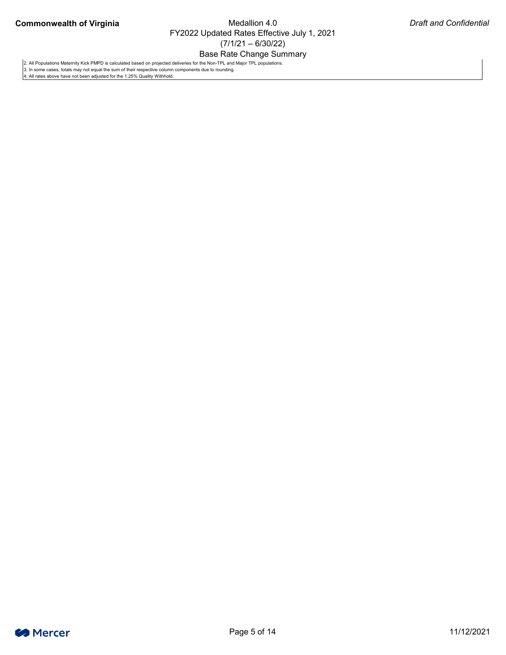### Base Rate Change Summary



2. All Populations Maternity Kick PMPD is calculated based on projected deliveries for the Non-TPL and Major TPL populations.

3. In some cases, totals may not equal the sum of their respective column components due to rounding.

4. All rates above have not been adjusted for the 1.25% Quality Withhold.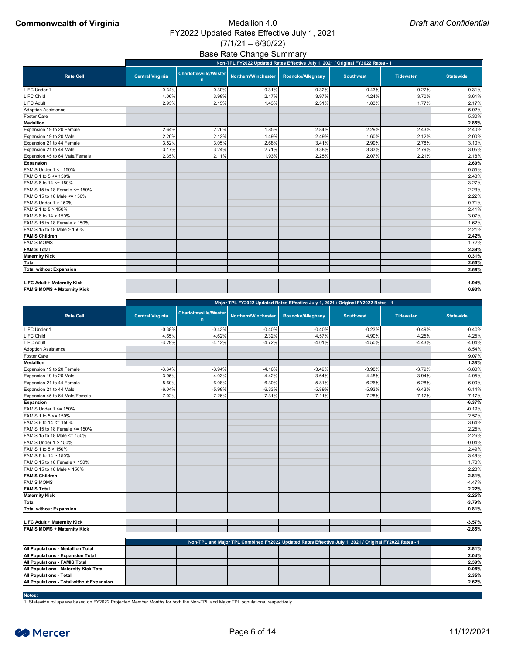## Base Rate Change Summary

|                                       |                         | Non-TPL FY2022 Updated Rates Effective July 1, 2021 / Original FY2022 Rates - 1 |                     |                   |                  |                  |                  |  |  |  |  |  |  |  |
|---------------------------------------|-------------------------|---------------------------------------------------------------------------------|---------------------|-------------------|------------------|------------------|------------------|--|--|--|--|--|--|--|
| <b>Rate Cell</b>                      | <b>Central Virginia</b> | <b>Charlottesville/Wester</b><br>n                                              | Northern/Winchester | Roanoke/Alleghany | <b>Southwest</b> | <b>Tidewater</b> | <b>Statewide</b> |  |  |  |  |  |  |  |
| LIFC Under 1                          | 0.34%                   | 0.30%                                                                           | 0.31%               | 0.32%             | 0.43%            | 0.27%            | 0.31%            |  |  |  |  |  |  |  |
| <b>LIFC Child</b>                     | 4.06%                   | 3.98%                                                                           | 2.17%               | 3.97%             | 4.24%            | 3.70%            | 3.61%            |  |  |  |  |  |  |  |
| <b>LIFC Adult</b>                     | 2.93%                   | 2.15%                                                                           | 1.43%               | 2.31%             | 1.83%            | 1.77%            | 2.17%            |  |  |  |  |  |  |  |
| <b>Adoption Assistance</b>            |                         |                                                                                 |                     |                   |                  |                  | 5.02%            |  |  |  |  |  |  |  |
| <b>Foster Care</b>                    |                         |                                                                                 |                     |                   |                  |                  | 5.30%            |  |  |  |  |  |  |  |
| <b>Medallion</b>                      |                         |                                                                                 |                     |                   |                  |                  | 2.85%            |  |  |  |  |  |  |  |
| Expansion 19 to 20 Female             | 2.64%                   | 2.26%                                                                           | 1.85%               | 2.84%             | 2.29%            | 2.43%            | 2.40%            |  |  |  |  |  |  |  |
| Expansion 19 to 20 Male               | 2.20%                   | 2.12%                                                                           | 1.49%               | 2.49%             | 1.60%            | 2.12%            | 2.00%            |  |  |  |  |  |  |  |
| Expansion 21 to 44 Female             | 3.52%                   | 3.05%                                                                           | 2.68%               | 3.41%             | 2.99%            | 2.78%            | 3.10%            |  |  |  |  |  |  |  |
| Expansion 21 to 44 Male               | 3.17%                   | 3.24%                                                                           | 2.71%               | 3.38%             | 3.33%            | 2.79%            | 3.05%            |  |  |  |  |  |  |  |
| Expansion 45 to 64 Male/Female        | 2.35%                   | 2.11%                                                                           | 1.93%               | 2.25%             | 2.07%            | 2.21%            | 2.18%            |  |  |  |  |  |  |  |
| <b>Expansion</b>                      |                         |                                                                                 |                     |                   |                  |                  | 2.60%            |  |  |  |  |  |  |  |
| FAMIS Under 1 <= 150%                 |                         |                                                                                 |                     |                   |                  |                  | 0.55%            |  |  |  |  |  |  |  |
| FAMIS 1 to 5 <= 150%                  |                         |                                                                                 |                     |                   |                  |                  | 2.48%            |  |  |  |  |  |  |  |
| FAMIS 6 to 14 <= 150%                 |                         |                                                                                 |                     |                   |                  |                  | 3.27%            |  |  |  |  |  |  |  |
| FAMIS 15 to 18 Female <= 150%         |                         |                                                                                 |                     |                   |                  |                  | 2.23%            |  |  |  |  |  |  |  |
| <b>FAMIS 15 to 18 Male &lt;= 150%</b> |                         |                                                                                 |                     |                   |                  |                  | 2.22%            |  |  |  |  |  |  |  |
| FAMIS Under 1 > 150%                  |                         |                                                                                 |                     |                   |                  |                  | 0.71%            |  |  |  |  |  |  |  |
| FAMIS 1 to 5 > 150%                   |                         |                                                                                 |                     |                   |                  |                  | 2.41%            |  |  |  |  |  |  |  |
| FAMIS 6 to 14 > 150%                  |                         |                                                                                 |                     |                   |                  |                  | 3.07%            |  |  |  |  |  |  |  |
| FAMIS 15 to 18 Female > 150%          |                         |                                                                                 |                     |                   |                  |                  | 1.62%            |  |  |  |  |  |  |  |
| <b>FAMIS 15 to 18 Male &gt; 150%</b>  |                         |                                                                                 |                     |                   |                  |                  | 2.21%            |  |  |  |  |  |  |  |
| <b>FAMIS Children</b>                 |                         |                                                                                 |                     |                   |                  |                  | 2.42%            |  |  |  |  |  |  |  |
| <b>FAMIS MOMS</b>                     |                         |                                                                                 |                     |                   |                  |                  | 1.72%            |  |  |  |  |  |  |  |
| <b>FAMIS Total</b>                    |                         |                                                                                 |                     |                   |                  |                  | 2.39%            |  |  |  |  |  |  |  |
| <b>Maternity Kick</b>                 |                         |                                                                                 |                     |                   |                  |                  | 0.31%            |  |  |  |  |  |  |  |
| <b>Total</b>                          |                         |                                                                                 |                     |                   |                  |                  | 2.65%            |  |  |  |  |  |  |  |
| <b>Total without Expansion</b>        |                         |                                                                                 |                     |                   |                  |                  | 2.68%            |  |  |  |  |  |  |  |
| <b>LIFC Adult + Maternity Kick</b>    |                         |                                                                                 |                     |                   |                  |                  | 1.94%            |  |  |  |  |  |  |  |
| <b>FAMIS MOMS + Maternity Kick</b>    |                         |                                                                                 |                     |                   |                  |                  | 0.93%            |  |  |  |  |  |  |  |

|                                | Major TPL FY2022 Updated Rates Effective July 1, 2021 / Original FY2022 Rates - 1 |                                    |                     |                          |                  |                  |                  |  |  |  |
|--------------------------------|-----------------------------------------------------------------------------------|------------------------------------|---------------------|--------------------------|------------------|------------------|------------------|--|--|--|
| <b>Rate Cell</b>               | <b>Central Virginia</b>                                                           | <b>Charlottesville/Wester</b><br>n | Northern/Winchester | <b>Roanoke/Alleghany</b> | <b>Southwest</b> | <b>Tidewater</b> | <b>Statewide</b> |  |  |  |
| LIFC Under 1                   | $-0.38%$                                                                          | $-0.43%$                           | $-0.40%$            | $-0.40%$                 | $-0.23%$         | $-0.49%$         | $-0.40%$         |  |  |  |
| <b>LIFC Child</b>              | 4.65%                                                                             | 4.62%                              | 2.32%               | 4.57%                    | 4.90%            | 4.25%            | 4.25%            |  |  |  |
| <b>LIFC Adult</b>              | $-3.29%$                                                                          | $-4.12%$                           | $-4.72%$            | $-4.01%$                 | $-4.50%$         | $-4.43%$         | $-4.04%$         |  |  |  |
| <b>Adoption Assistance</b>     |                                                                                   |                                    |                     |                          |                  |                  | 8.54%            |  |  |  |
| <b>Foster Care</b>             |                                                                                   |                                    |                     |                          |                  |                  | 9.07%            |  |  |  |
| <b>Medallion</b>               |                                                                                   |                                    |                     |                          |                  |                  | 1.38%            |  |  |  |
| Expansion 19 to 20 Female      | $-3.64%$                                                                          | $-3.94%$                           | $-4.16%$            | $-3.49%$                 | $-3.98%$         | $-3.79%$         | $-3.80%$         |  |  |  |
| Expansion 19 to 20 Male        | $-3.95%$                                                                          | $-4.03%$                           | $-4.42%$            | $-3.64%$                 | $-4.48%$         | $-3.94%$         | $-4.05%$         |  |  |  |
| Expansion 21 to 44 Female      | $-5.60%$                                                                          | $-6.08%$                           | $-6.30%$            | $-5.81%$                 | $-6.26%$         | $-6.28%$         | $-6.00%$         |  |  |  |
| Expansion 21 to 44 Male        | $-6.04%$                                                                          | $-5.98%$                           | $-6.33%$            | $-5.89%$                 | $-5.93%$         | $-6.43%$         | $-6.14%$         |  |  |  |
| Expansion 45 to 64 Male/Female | $-7.02%$                                                                          | $-7.26%$                           | $-7.31%$            | $-7.11%$                 | $-7.28%$         | $-7.17%$         | $-7.17%$         |  |  |  |
| <b>Expansion</b>               |                                                                                   |                                    |                     |                          |                  |                  | $-6.37%$         |  |  |  |
| FAMIS Under $1 \le 150\%$      |                                                                                   |                                    |                     |                          |                  |                  | $-0.19%$         |  |  |  |
| FAMIS 1 to 5 <= 150%           |                                                                                   |                                    |                     |                          |                  |                  | 2.57%            |  |  |  |
| FAMIS 6 to 14 <= 150%          |                                                                                   |                                    |                     |                          |                  |                  | 3.64%            |  |  |  |
| FAMIS 15 to 18 Female <= 150%  |                                                                                   |                                    |                     |                          |                  |                  | 2.25%            |  |  |  |
| FAMIS 15 to 18 Male <= 150%    |                                                                                   |                                    |                     |                          |                  |                  | 2.26%            |  |  |  |
| <b>FAMIS Under 1 &gt; 150%</b> |                                                                                   |                                    |                     |                          |                  |                  | $-0.04%$         |  |  |  |
| FAMIS 1 to 5 > 150%            |                                                                                   |                                    |                     |                          |                  |                  | 2.49%            |  |  |  |
| FAMIS 6 to 14 > 150%           |                                                                                   |                                    |                     |                          |                  |                  | 3.49%            |  |  |  |
| FAMIS 15 to 18 Female > 150%   |                                                                                   |                                    |                     |                          |                  |                  | 1.70%            |  |  |  |
| FAMIS 15 to 18 Male > 150%     |                                                                                   |                                    |                     |                          |                  |                  | 2.28%            |  |  |  |
| <b>FAMIS Children</b>          |                                                                                   |                                    |                     |                          |                  |                  | 2.81%            |  |  |  |
| <b>FAMIS MOMS</b>              |                                                                                   |                                    |                     |                          |                  |                  | $-4.47%$         |  |  |  |
| <b>FAMIS Total</b>             |                                                                                   |                                    |                     |                          |                  |                  | 2.22%            |  |  |  |
| <b>Maternity Kick</b>          |                                                                                   |                                    |                     |                          |                  |                  | $-2.25%$         |  |  |  |
| <b>Total</b>                   |                                                                                   |                                    |                     |                          |                  |                  | $-3.79%$         |  |  |  |
| <b>Total without Expansion</b> |                                                                                   |                                    |                     |                          |                  |                  | 0.81%            |  |  |  |

| <b>LIFC Adult + Maternity Kick</b> |  |  |  | $-3.57%$ |
|------------------------------------|--|--|--|----------|
| <b>FAMIS MOMS + Maternity Kick</b> |  |  |  | $-2.85%$ |

#### **Notes:**

|                                                  | Non-TPL and Major TPL Combined FY2022 Updated Rates Effective July 1, 2021 / Original FY2022 Rates - 1 |  |  |  |  |       |  |  |  |  |  |  |
|--------------------------------------------------|--------------------------------------------------------------------------------------------------------|--|--|--|--|-------|--|--|--|--|--|--|
| <b>All Populations - Medallion Total</b>         |                                                                                                        |  |  |  |  | 2.81% |  |  |  |  |  |  |
| <b>All Populations - Expansion Total</b>         |                                                                                                        |  |  |  |  | 2.04% |  |  |  |  |  |  |
| <b>All Populations - FAMIS Total</b>             |                                                                                                        |  |  |  |  | 2.39% |  |  |  |  |  |  |
| <b>All Populations - Maternity Kick Total</b>    |                                                                                                        |  |  |  |  | 0.08% |  |  |  |  |  |  |
| <b>All Populations - Total</b>                   |                                                                                                        |  |  |  |  | 2.35% |  |  |  |  |  |  |
| <b>All Populations - Total without Expansion</b> |                                                                                                        |  |  |  |  | 2.62% |  |  |  |  |  |  |

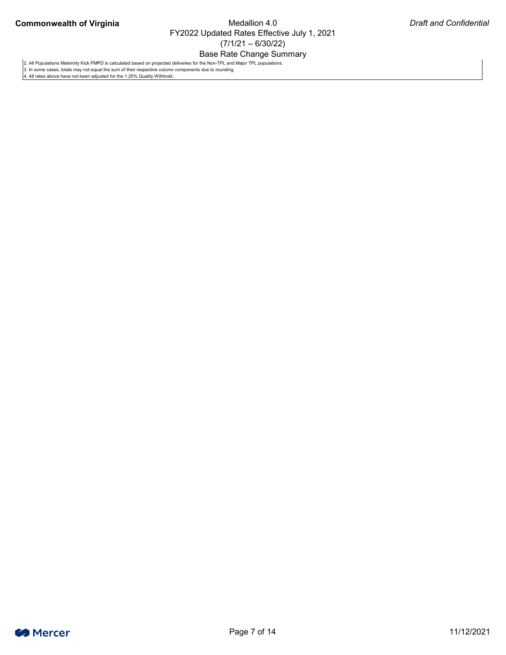### Base Rate Change Summary



2. All Populations Maternity Kick PMPD is calculated based on projected deliveries for the Non-TPL and Major TPL populations.

3. In some cases, totals may not equal the sum of their respective column components due to rounding.

4. All rates above have not been adjusted for the 1.25% Quality Withhold.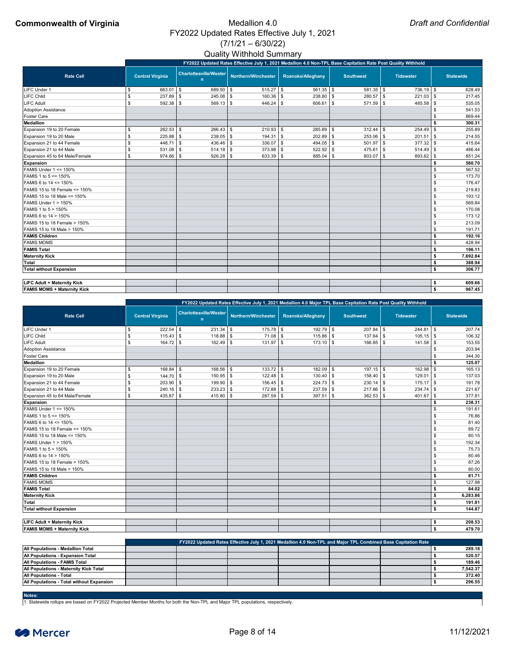### Quality Withhold Summary

### **Commonwealth of Virginia** Medallion 4.0 FY2022 Updated Rates Effective July 1, 2021  $(7/1/21 - 6/30/22)$

|                                    |                           | FY2022 Updated Rates Effective July 1, 2021 Medallion 4.0 Non-TPL Base Capitation Rate Post Quality Withhold |               |                                    |                     |            |                      |  |                  |  |                  |                            |                  |  |  |
|------------------------------------|---------------------------|--------------------------------------------------------------------------------------------------------------|---------------|------------------------------------|---------------------|------------|----------------------|--|------------------|--|------------------|----------------------------|------------------|--|--|
| <b>Rate Cell</b>                   |                           | <b>Central Virginia</b>                                                                                      |               | <b>Charlottesville/Wester</b><br>n | Northern/Winchester |            | Roanoke/Alleghany    |  | <b>Southwest</b> |  | <b>Tidewater</b> |                            | <b>Statewide</b> |  |  |
| <b>LIFC Under 1</b>                | \$                        | 663.01                                                                                                       | <b>\$</b>     | $689.50$ \$                        | $515.27$ \\$        |            | $561.35$ \\$         |  | $581.35$ \\$     |  | $736.19$ \$      |                            | 628.49           |  |  |
| LIFC Child                         | $\boldsymbol{\mathsf{S}}$ | $237.89$ \$                                                                                                  |               | $245.08$ \ \$                      | $160.36$ \$         |            | $238.80$ \ \$        |  | $280.57$ \$      |  | 221.03           | \$                         | 217.45           |  |  |
| <b>LIFC Adult</b>                  | $\mathfrak{S}$            | $592.38$ \$                                                                                                  |               | $569.13$ \$                        | $446.24$ \$         |            | $606.61$ \$          |  | $571.59$ \$      |  | $485.58$ \\$     |                            | 535.05           |  |  |
| <b>Adoption Assistance</b>         |                           |                                                                                                              |               |                                    |                     |            |                      |  |                  |  |                  |                            | 541.53           |  |  |
| <b>Foster Care</b>                 |                           |                                                                                                              |               |                                    |                     |            |                      |  |                  |  |                  |                            | 869.44           |  |  |
| <b>Medallion</b>                   |                           |                                                                                                              |               |                                    |                     |            |                      |  |                  |  |                  |                            | 300.31           |  |  |
| Expansion 19 to 20 Female          | $\frac{1}{2}$             | 262.53                                                                                                       | $\sqrt[6]{3}$ | $266.43$ \$                        | $210.93$ \$         |            | $285.89$ \ \$        |  | $312.44$ \ \$    |  | 254.49           | \$                         | 255.89           |  |  |
| Expansion 19 to 20 Male            | $\mathfrak{S}$            | $225.88$ \$                                                                                                  |               | $238.05$ \$                        | 194.31              | $\sqrt{3}$ | $202.89$ \$          |  | $253.06$ \$      |  | 201.51           | \$                         | 214.55           |  |  |
| Expansion 21 to 44 Female          | \$                        | 448.71                                                                                                       | ∣\$           | $436.46$ \\$                       | $336.07$ \$         |            | 494.05 $\frac{1}{9}$ |  | $501.97$ \$      |  | 377.32           | $\boldsymbol{\mathsf{\$}}$ | 415.64           |  |  |
| Expansion 21 to 44 Male            | \$                        | $531.08$ \$                                                                                                  |               |                                    | $373.98$ \$         |            | $522.92$ \$          |  | $475.61$ \$      |  | $514.49$ \\$     |                            | 486.44           |  |  |
| Expansion 45 to 64 Male/Female     | $\boldsymbol{\mathsf{S}}$ | $974.66$ \ \$                                                                                                |               | $926.28$ \$                        | $633.39$ \$         |            | $885.04$ \$          |  | 803.07 \$        |  | $893.62$ \\$     |                            | 851.24           |  |  |
| <b>Expansion</b>                   |                           |                                                                                                              |               |                                    |                     |            |                      |  |                  |  |                  |                            | 560.70           |  |  |
| FAMIS Under 1 <= 150%              |                           |                                                                                                              |               |                                    |                     |            |                      |  |                  |  |                  | \$.                        | 567.52           |  |  |
| FAMIS 1 to 5 <= 150%               |                           |                                                                                                              |               |                                    |                     |            |                      |  |                  |  |                  | \$.                        | 173.70           |  |  |
| FAMIS 6 to 14 <= 150%              |                           |                                                                                                              |               |                                    |                     |            |                      |  |                  |  |                  |                            | 176.47           |  |  |
| FAMIS 15 to 18 Female <= 150%      |                           |                                                                                                              |               |                                    |                     |            |                      |  |                  |  |                  | \$                         | 219.83           |  |  |
| FAMIS 15 to 18 Male <= 150%        |                           |                                                                                                              |               |                                    |                     |            |                      |  |                  |  |                  |                            | 193.12           |  |  |
| <b>FAMIS Under 1 &gt; 150%</b>     |                           |                                                                                                              |               |                                    |                     |            |                      |  |                  |  |                  | \$                         | 569.84           |  |  |
| FAMIS 1 to 5 > 150%                |                           |                                                                                                              |               |                                    |                     |            |                      |  |                  |  |                  | \$                         | 170.08           |  |  |
| FAMIS 6 to 14 > 150%               |                           |                                                                                                              |               |                                    |                     |            |                      |  |                  |  |                  | \$.                        | 173.12           |  |  |
| FAMIS 15 to 18 Female > 150%       |                           |                                                                                                              |               |                                    |                     |            |                      |  |                  |  |                  | \$                         | 213.09           |  |  |
| FAMIS 15 to 18 Male > 150%         |                           |                                                                                                              |               |                                    |                     |            |                      |  |                  |  |                  | \$                         | 191.71           |  |  |
| <b>FAMIS Children</b>              |                           |                                                                                                              |               |                                    |                     |            |                      |  |                  |  |                  | \$                         | 192.16           |  |  |
| <b>FAMIS MOMS</b>                  |                           |                                                                                                              |               |                                    |                     |            |                      |  |                  |  |                  | \$                         | 428.94           |  |  |
| <b>FAMIS Total</b>                 |                           |                                                                                                              |               |                                    |                     |            |                      |  |                  |  |                  | \$                         | 196.11           |  |  |
| <b>Maternity Kick</b>              |                           |                                                                                                              |               |                                    |                     |            |                      |  |                  |  |                  | \$                         | 7,692.84         |  |  |
| <b>Total</b>                       |                           |                                                                                                              |               |                                    |                     |            |                      |  |                  |  |                  | \$                         | 388.94           |  |  |
| <b>Total without Expansion</b>     |                           |                                                                                                              |               |                                    |                     |            |                      |  |                  |  |                  | \$                         | 306.77           |  |  |
| <b>LIFC Adult + Maternity Kick</b> |                           |                                                                                                              |               |                                    |                     |            |                      |  |                  |  |                  | \$                         | 609.66           |  |  |
| <b>FAMIS MOMS + Maternity Kick</b> |                           |                                                                                                              |               |                                    |                     |            |                      |  |                  |  |                  | \$                         | 967.45           |  |  |

|                                 |                           |               |                                    |  | FY2022 Updated Rates Effective July 1, 2021 Medallion 4.0 Major TPL Base Capitation Rate Post Quality Withhold |                          |               |                  |              |                  |              |     |                  |
|---------------------------------|---------------------------|---------------|------------------------------------|--|----------------------------------------------------------------------------------------------------------------|--------------------------|---------------|------------------|--------------|------------------|--------------|-----|------------------|
| <b>Rate Cell</b>                | <b>Central Virginia</b>   |               | <b>Charlottesville/Wester</b><br>n |  | Northern/Winchester                                                                                            | <b>Roanoke/Alleghany</b> |               | <b>Southwest</b> |              | <b>Tidewater</b> |              |     | <b>Statewide</b> |
| LIFC Under 1                    | \$                        |               | $231.34$ \\$                       |  | $175.78$ \\$                                                                                                   |                          | $192.79$ \$   |                  | 207.84       | <b>S</b>         | $244.81$ \\$ |     | 207.74           |
| <b>LIFC Child</b>               | \$                        |               | $118.88$ \$                        |  | $71.08$ \$                                                                                                     |                          | $115.86$ \ \$ |                  | 137.64       | -\$              | $105.15$ \\$ |     | 106.32           |
| <b>LIFC Adult</b>               | $\boldsymbol{\mathsf{s}}$ | $164.72$ \ \$ | $162.49$ \ \$                      |  | $131.97$ \$                                                                                                    |                          | $173.10$ \ \$ |                  | $166.85$ \$  |                  |              |     | 153.55           |
| <b>Adoption Assistance</b>      |                           |               |                                    |  |                                                                                                                |                          |               |                  |              |                  |              |     | 203.94           |
| <b>Foster Care</b>              |                           |               |                                    |  |                                                                                                                |                          |               |                  |              |                  |              |     | 344.30           |
| <b>Medallion</b>                |                           |               |                                    |  |                                                                                                                |                          |               |                  |              |                  |              |     | 125.07           |
| Expansion 19 to 20 Female       | \$                        | $168.84$ \ \$ | $168.56$ \$                        |  | $133.72$ \\$                                                                                                   |                          | $182.09$ \ \$ |                  | $197.15$ \$  |                  | 162.98       | \$  | 165.13           |
| Expansion 19 to 20 Male         | \$                        | $144.70$ \\$  | $150.95$ \$                        |  |                                                                                                                |                          | $130.40$ \$   |                  | 158.40       | l \$             | 129.01       | \$  | 137.03           |
| Expansion 21 to 44 Female       | \$                        | $203.90$ \$   | $199.90$ \$                        |  | $156.45$ \$                                                                                                    |                          | $224.73$ \$   |                  | $230.14$ \\$ |                  | 175.17       | \$  | 191.78           |
| Expansion 21 to 44 Male         | $\boldsymbol{\mathsf{s}}$ | $240.16$ \\$  | $233.23$ \$                        |  | $172.88$ \ \$                                                                                                  |                          | $237.59$ \$   |                  | $217.86$ \$  |                  | 234.74       | \$  | 221.67           |
| Expansion 45 to 64 Male/Female  | \$                        | $435.87$ \$   | 415.80 $\frac{1}{3}$               |  | $287.59$ \$                                                                                                    |                          | $397.51$ \$   |                  | 362.53       | l \$             | 401.67       | \$  | 377.81           |
| <b>Expansion</b>                |                           |               |                                    |  |                                                                                                                |                          |               |                  |              |                  |              |     | 238.31           |
| <b>FAMIS Under 1 &lt;= 150%</b> |                           |               |                                    |  |                                                                                                                |                          |               |                  |              |                  |              | \$. | 191.61           |
| FAMIS 1 to 5 <= 150%            |                           |               |                                    |  |                                                                                                                |                          |               |                  |              |                  |              |     | 76.86            |
| FAMIS 6 to 14 <= 150%           |                           |               |                                    |  |                                                                                                                |                          |               |                  |              |                  |              |     | 81.40            |
| FAMIS 15 to 18 Female <= 150%   |                           |               |                                    |  |                                                                                                                |                          |               |                  |              |                  |              | \$  | 89.72            |
| FAMIS 15 to 18 Male <= 150%     |                           |               |                                    |  |                                                                                                                |                          |               |                  |              |                  |              |     | 80.15            |
| <b>FAMIS Under 1 &gt; 150%</b>  |                           |               |                                    |  |                                                                                                                |                          |               |                  |              |                  |              |     | 192.34           |
| FAMIS 1 to 5 > 150%             |                           |               |                                    |  |                                                                                                                |                          |               |                  |              |                  |              | \$  | 75.73            |
| FAMIS 6 to 14 > 150%            |                           |               |                                    |  |                                                                                                                |                          |               |                  |              |                  |              |     | 80.46            |
| FAMIS 15 to 18 Female > 150%    |                           |               |                                    |  |                                                                                                                |                          |               |                  |              |                  |              |     | 87.26            |
| FAMIS 15 to 18 Male > 150%      |                           |               |                                    |  |                                                                                                                |                          |               |                  |              |                  |              | \$  | 80.00            |
| <b>FAMIS Children</b>           |                           |               |                                    |  |                                                                                                                |                          |               |                  |              |                  |              | \$  | 81.71            |
| <b>FAMIS MOMS</b>               |                           |               |                                    |  |                                                                                                                |                          |               |                  |              |                  |              | \$  | 127.98           |
| <b>FAMIS Total</b>              |                           |               |                                    |  |                                                                                                                |                          |               |                  |              |                  |              | \$  | 84.02            |
| <b>Maternity Kick</b>           |                           |               |                                    |  |                                                                                                                |                          |               |                  |              |                  |              | \$  | 6,283.86         |
| <b>Total</b>                    |                           |               |                                    |  |                                                                                                                |                          |               |                  |              |                  |              |     | 191.81           |
| <b>Total without Expansion</b>  |                           |               |                                    |  |                                                                                                                |                          |               |                  |              |                  |              |     | 144.87           |

| <b>Waternity Kick +</b><br><b>LIFC Adult</b> |  |  |  | 208.53 |
|----------------------------------------------|--|--|--|--------|
| + Maternity Kick<br><b>FAMIS MOMS</b>        |  |  |  | 479.70 |

|                                                  | FY2022 Updated Rates Effective July 1, 2021 Medallion 4.0 Non-TPL and Major TPL Combined Base Capitation Rate |  |  |  |  |  |          |  |  |  |  |  |  |  |
|--------------------------------------------------|---------------------------------------------------------------------------------------------------------------|--|--|--|--|--|----------|--|--|--|--|--|--|--|
| <b>All Populations - Medallion Total</b>         |                                                                                                               |  |  |  |  |  | 289.18   |  |  |  |  |  |  |  |
| <b>All Populations - Expansion Total</b>         |                                                                                                               |  |  |  |  |  | 520.57   |  |  |  |  |  |  |  |
| <b>All Populations - FAMIS Total</b>             |                                                                                                               |  |  |  |  |  | 189.46   |  |  |  |  |  |  |  |
| <b>All Populations - Maternity Kick Total</b>    |                                                                                                               |  |  |  |  |  | 7,542.37 |  |  |  |  |  |  |  |
| <b>All Populations - Total</b>                   |                                                                                                               |  |  |  |  |  | 372.40   |  |  |  |  |  |  |  |
| <b>All Populations - Total without Expansion</b> |                                                                                                               |  |  |  |  |  | 296.55   |  |  |  |  |  |  |  |

#### **Notes:**

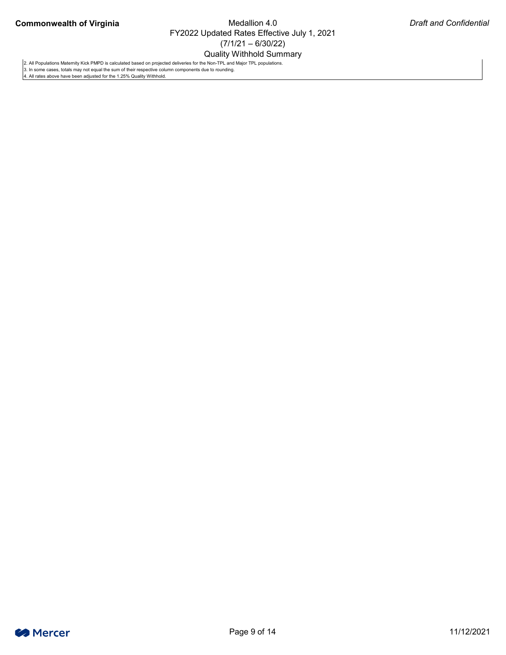Quality Withhold Summary



2. All Populations Maternity Kick PMPD is calculated based on projected deliveries for the Non-TPL and Major TPL populations.

3. In some cases, totals may not equal the sum of their respective column components due to rounding.

4. All rates above have been adjusted for the 1.25% Quality Withhold.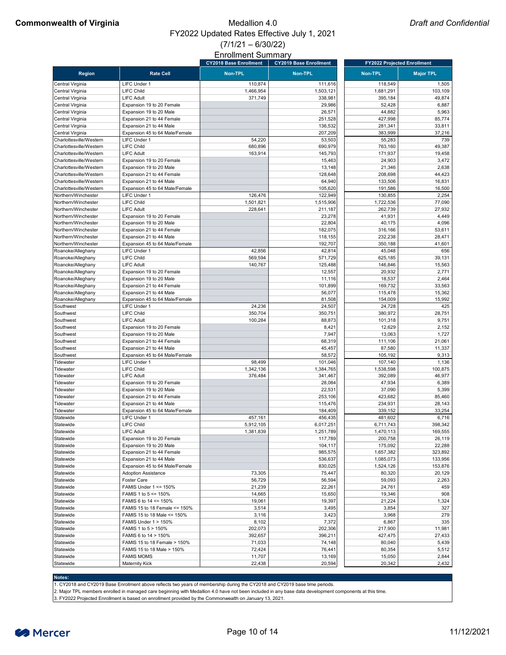|                         |                                  | <b>CY2018 Base Enrollment</b> | <b>CY2019 Base Enrollment</b> | <b>FY2022 Projected Enrollment</b> |                  |
|-------------------------|----------------------------------|-------------------------------|-------------------------------|------------------------------------|------------------|
| <b>Region</b>           | <b>Rate Cell</b>                 | <b>Non-TPL</b>                | <b>Non-TPL</b>                | <b>Non-TPL</b>                     | <b>Major TPL</b> |
| Central Virginia        | LIFC Under 1                     | 110,874                       | 111,616                       | 118,549                            | 1,505            |
| Central Virginia        | <b>LIFC Child</b>                | 1,466,954                     | 1,503,121                     | 1,681,291                          | 103,109          |
| Central Virginia        | <b>LIFC Adult</b>                | 371,749                       | 338,981                       | 395,184                            | 49,874           |
| Central Virginia        | Expansion 19 to 20 Female        |                               | 29,986                        | 52,428                             | 6,887            |
| Central Virginia        | Expansion 19 to 20 Male          |                               | 26,571                        | 44,882                             |                  |
|                         |                                  |                               |                               |                                    | 5,963            |
| Central Virginia        | Expansion 21 to 44 Female        |                               | 251,528                       | 427,998                            | 85,774           |
| Central Virginia        | Expansion 21 to 44 Male          |                               | 136,532                       | 281,341                            | 33,811           |
| Central Virginia        | Expansion 45 to 64 Male/Female   |                               | 207,209                       | 383,999                            | 37,216           |
| Charlottesville/Western | <b>LIFC Under 1</b>              | 54,220                        | 53,503                        | 55,283                             | 739              |
| Charlottesville/Western | <b>LIFC Child</b>                | 680,896                       | 690,979                       | 763,160                            | 49,387           |
| Charlottesville/Western | <b>LIFC Adult</b>                | 163,914                       | 145,793                       | 171,937                            | 19,458           |
| Charlottesville/Western | Expansion 19 to 20 Female        |                               | 15,463                        | 24,903                             | 3,472            |
| Charlottesville/Western | Expansion 19 to 20 Male          |                               | 13,148                        | 21,346                             | 2,638            |
| Charlottesville/Western | Expansion 21 to 44 Female        |                               | 128,648                       | 208,698                            | 44,423           |
| Charlottesville/Western | Expansion 21 to 44 Male          |                               | 64,940                        | 133,506                            | 16,831           |
| Charlottesville/Western | Expansion 45 to 64 Male/Female   |                               | 105,620                       | 191,586                            | 16,500           |
| Northern/Winchester     | <b>LIFC Under 1</b>              | 126,476                       | 122,949                       | 130,855                            | 2,254            |
| Northern/Winchester     | <b>LIFC Child</b>                | 1,501,821                     | 1,515,906                     | 1,722,536                          | 77,090           |
| Northern/Winchester     | <b>LIFC Adult</b>                | 228,641                       | 211,187                       | 262,739                            | 27,932           |
| Northern/Winchester     | Expansion 19 to 20 Female        |                               | 23,278                        | 41,931                             | 4,449            |
| Northern/Winchester     | Expansion 19 to 20 Male          |                               | 22,804                        | 40,175                             | 4,096            |
| Northern/Winchester     | Expansion 21 to 44 Female        |                               | 182,075                       | 316,166                            | 53,611           |
| Northern/Winchester     | Expansion 21 to 44 Male          |                               | 118,155                       | 232,238                            | 28,471           |
| Northern/Winchester     | Expansion 45 to 64 Male/Female   |                               | 192,707                       | 350,188                            | 41,601           |
| Roanoke/Alleghany       | <b>LIFC Under 1</b>              | 42,856                        | 42,814                        | 45,048                             | 656              |
| Roanoke/Alleghany       | <b>LIFC Child</b>                | 569,594                       | 571,729                       | 625,185                            | 39,131           |
| Roanoke/Alleghany       | <b>LIFC Adult</b>                | 140,767                       | 125,488                       | 146,846                            | 15,563           |
| Roanoke/Alleghany       | Expansion 19 to 20 Female        |                               | 12,557                        | 20,932                             | 2,771            |
| Roanoke/Alleghany       | Expansion 19 to 20 Male          |                               | 11,116                        | 18,537                             | 2,464            |
| Roanoke/Alleghany       | Expansion 21 to 44 Female        |                               | 101,899                       | 169,732                            | 33,563           |
|                         |                                  |                               |                               |                                    | 15,362           |
| Roanoke/Alleghany       | Expansion 21 to 44 Male          |                               | 56,077                        | 115,478                            |                  |
| Roanoke/Alleghany       | Expansion 45 to 64 Male/Female   |                               | 81,508                        | 154,009                            | 15,992           |
| Southwest               | <b>LIFC Under 1</b>              | 24,236                        | 24,507                        | 24,728                             | 425              |
| Southwest               | <b>LIFC Child</b>                | 350,704                       | 350,751                       | 380,972                            | 28,751           |
| Southwest               | <b>LIFC Adult</b>                | 100,284                       | 88,873                        | 101,318                            | 9,751            |
| Southwest               | Expansion 19 to 20 Female        |                               | 8,421                         | 12,629                             | 2,152            |
| Southwest               | Expansion 19 to 20 Male          |                               | 7,947                         | 13,063                             | 1,727            |
| Southwest               | Expansion 21 to 44 Female        |                               | 68,319                        | 111,106                            | 21,061           |
| Southwest               | Expansion 21 to 44 Male          |                               | 45,457                        | 87,580                             | 11,337           |
| Southwest               | Expansion 45 to 64 Male/Female   |                               | 58,572                        | 105,192                            | 9,313            |
| Tidewater               | <b>LIFC Under 1</b>              | 98,499                        | 101,046                       | 107,140                            | 1,136            |
| Tidewater               | <b>LIFC Child</b>                | 1,342,136                     | 1,384,765                     | 1,538,598                          | 100,875          |
| Tidewater               | <b>LIFC Adult</b>                | 376,484                       | 341,467                       | 392,089                            | 46,977           |
| Tidewater               | Expansion 19 to 20 Female        |                               | 28,084                        | 47,934                             | 6,389            |
| Tidewater               | Expansion 19 to 20 Male          |                               | 22,531                        | 37,090                             | 5,399            |
| Tidewater               | Expansion 21 to 44 Female        |                               | 253,106                       | 423,682                            | 85,460           |
| Tidewater               | Expansion 21 to 44 Male          |                               | 115,476                       | 234,931                            | 28,143           |
| Tidewater               | Expansion 45 to 64 Male/Female   |                               | 184,409                       | 339,152                            | 33,254           |
| Statewide               | LIFC Under 1                     | 457,161                       | 456,435                       | 481,602                            | 6,716            |
| Statewide               | <b>LIFC Child</b>                | 5,912,105                     | 6,017,251                     | 6,711,743                          | 398,342          |
| Statewide               | <b>LIFC Adult</b>                | 1,381,839                     | 1,251,789                     | 1,470,113                          | 169,555          |
| Statewide               | Expansion 19 to 20 Female        |                               | 117,789                       | 200,758                            | 26,119           |
| Statewide               | Expansion 19 to 20 Male          |                               | 104,117                       | 175,092                            | 22,288           |
| Statewide               | Expansion 21 to 44 Female        |                               | 985,575                       | 1,657,382                          | 323,892          |
| Statewide               | Expansion 21 to 44 Male          |                               | 536,637                       | 1,085,073                          | 133,956          |
| Statewide               | Expansion 45 to 64 Male/Female   |                               | 830,025                       | 1,524,126                          | 153,876          |
| Statewide               | <b>Adoption Assistance</b>       | 73,305                        | 75,447                        | 80,320                             | 20,129           |
| Statewide               | <b>Foster Care</b>               | 56,729                        | 56,594                        | 59,093                             | 2,263            |
| Statewide               | <b>FAMIS Under 1 &lt;= 150%</b>  | 21,239                        | 22,261                        | 24,761                             | 459              |
| Statewide               | FAMIS 1 to $5 \le 150\%$         | 14,665                        | 15,650                        | 19,346                             | 908              |
| Statewide               | FAMIS 6 to $14 \le 150\%$        | 19,061                        | 19,397                        | 21,224                             | 1,324            |
| Statewide               | FAMIS 15 to 18 Female $\le$ 150% | 3,514                         | 3,495                         | 3,854                              | 327              |
|                         | FAMIS 15 to 18 Male <= 150%      |                               |                               |                                    | 279              |
| Statewide               |                                  | 3,116                         | 3,423                         | 3,968                              |                  |
| Statewide               | FAMIS Under $1 > 150\%$          | 8,102                         | 7,372                         | 6,867                              | 335              |
| Statewide               | FAMIS 1 to 5 > 150%              | 202,073                       | 202,306                       | 217,900                            | 11,981           |
| Statewide               | FAMIS 6 to 14 > 150%             | 392,657                       | 396,211                       | 427,475                            | 27,433           |
| Statewide               | FAMIS 15 to 18 Female > 150%     | 71,033                        | 74,148                        | 80,040                             | 5,439            |
| Statewide               | FAMIS 15 to 18 Male > 150%       | 72,424                        | 76,441                        | 80,354                             | 5,512            |
| Statewide               | <b>FAMIS MOMS</b>                | 11,707                        | 13,169                        | 15,050                             | 2,844            |
| Statewide               | <b>Maternity Kick</b>            | 22,438                        | 20,594                        | 20,342                             | 2,432            |

#### **Notes:**

1. CY2018 and CY2019 Base Enrollment above reflects two years of membership during the CY2018 and CY2019 base time periods.

2. Major TPL members enrolled in managed care beginning with Medallion 4.0 have not been included in any base data development components at this time.

3. FY2022 Projected Enrollment is based on enrollment provided by the Commonwealth on January 13, 2021.

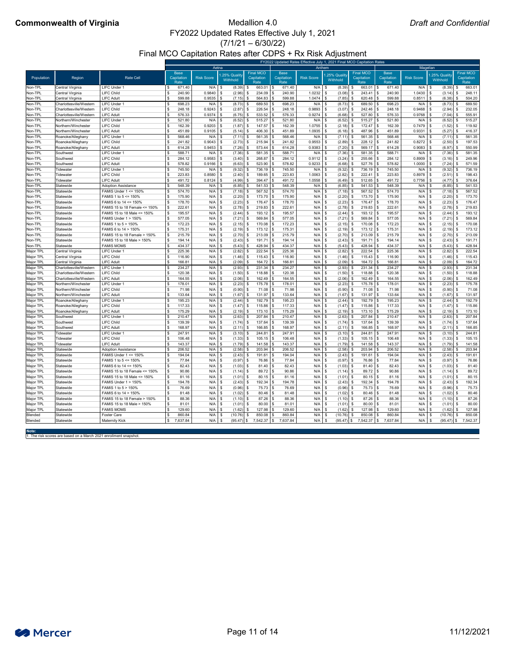$(7/1/21 - 6/30/22)$ 

Final MCO Capitation Rates after CDPS + Rx Risk Adjustment

# **Commonwealth of Virginia** Medallion 4.0

|                        |                                        | FY2022 Updated Rates Effective July 1, 2021 Final MCO Capitation Rates |                                   |                   |                         |                                        |                                   |                         |                            |                                        |                                   |                            |                           |                                        |  |
|------------------------|----------------------------------------|------------------------------------------------------------------------|-----------------------------------|-------------------|-------------------------|----------------------------------------|-----------------------------------|-------------------------|----------------------------|----------------------------------------|-----------------------------------|----------------------------|---------------------------|----------------------------------------|--|
|                        |                                        |                                                                        |                                   | Aetna             |                         |                                        |                                   | Anthem                  |                            |                                        | Magellan                          |                            |                           |                                        |  |
| Population             | Region                                 | <b>Rate Cell</b>                                                       | <b>Base</b><br>Capitation<br>Rate | <b>Risk Score</b> | 25% Quality<br>Withhold | <b>Final MCO</b><br>Capitation<br>Rate | <b>Base</b><br>Capitation<br>Rate | <b>Risk Score</b>       | 1.25% Quality<br>Withhold  | <b>Final MCO</b><br>Capitation<br>Rate | <b>Base</b><br>Capitation<br>Rate | <b>Risk Score</b>          | 1.25% Quality<br>Withhold | <b>Final MCO</b><br>Capitation<br>Rate |  |
| Non-TPL                | Central Virginia                       | LIFC Under 1                                                           | 671.40                            | N/A               | (8.39)                  | 663.01                                 | 671.40                            | N/A                     | (8.39)                     | $663.01$ \$                            | 671.40                            | $N/A$ $\sqrt{S}$           | (8.39)                    | 663.01                                 |  |
| Non-TPL                | Central Virginia                       | <b>LIFC Child</b>                                                      | 240.90                            | 0.9840            | (2.96)                  | 234.09                                 | 240.90                            | $1.0232$ \$             | $(3.08)$ \$                | $243.41$ \$                            | 240.90                            | $1.0430$ \ \$              | (3.14)                    | 248.11                                 |  |
| Non-TPL                | Central Virginia                       | <b>LIFC Adult</b>                                                      | 599.88                            | 0.9535            | (7.15)                  | 564.83                                 | 599.88                            |                         | $(7.85)$ \$                | $620.48$ \$                            | 599.88                            | 0.8511                     | (6.38)                    | 504.20                                 |  |
| Non-TPL                | Charlottesville/Westerr                | LIFC Under 1                                                           | 698.23                            | N/A               | (8.73)                  | 689.50                                 | 698.23                            | $N/A$ $\sqrt$           | (8.73)                     | 689.50 \$                              | 698.23                            | N/A                        | (8.73)                    | 689.50                                 |  |
| Non-TPL                | Charlottesville/Western                | <b>LIFC Child</b>                                                      | 248.18                            | 0.9243            | (2.87)                  | 226.54                                 | 248.18                            | 0.9893                  | (3.07)                     | $242.46$ \\$                           | 248.18                            | 0.9468                     | (2.94)                    | 232.05                                 |  |
| Non-TPL                | Charlottesville/Western                | <b>LIFC Adult</b>                                                      | 576.33                            | 0.9374            | (6.75)                  | $533.52$ \.                            | 576.33                            | 0.9274                  | $(6.68)$ \$                | $527.80$ \$                            | 576.33                            | $0.9768$ \$                | (7.04)                    | 555.91                                 |  |
| Non-TPL                | Northern/Winchester                    | LIFC Under                                                             | 521.80                            | N/A               | (6.52)                  | $515.27$ \$                            | 521.80                            | $N/A$ \$                | $(6.52)$ \$                | $515.27$ \$                            | 521.80                            | $N/A$ \$                   | (6.52)                    | 515.27                                 |  |
| Non-TPL                | Northern/Winchester                    | <b>LIFC Child</b>                                                      | 162.39                            | 0.9203            | (1.87)                  | $147.57$ \$                            | 162.39                            | $1.0755$ \ \$           | $(2.18)$ \$                | $172.47$ \ \$                          | 162.39                            | $0.7479$ \$                | (1.52)                    | 119.92                                 |  |
| Non-TPL                | Northern/Winchester                    | <b>LIFC Adult</b>                                                      | 451.89                            | 0.9105            | (5.14)                  | $406.30$ \\$                           | 451.89                            | 1.0935                  | $(6.18)$ \$                | 487.96 \$                              | 451.89                            | 0.9331                     | (5.27)                    | 416.37                                 |  |
| Non-TPL                | Roanoke/Alleghany                      | LIFC Under 1                                                           | 568.46                            | N/A               | (7.11)                  | 561.35                                 | 568.46                            | N/A                     | (7.11)                     | $561.35$ \\$                           | 568.46                            | $N/A$ \$                   | (7.11)                    | 561.35                                 |  |
| Non-TPL<br>Non-TPL     | Roanoke/Alleghany<br>Roanoke/Alleghany | <b>LIFC Child</b><br><b>LIFC Adult</b>                                 | 241.82<br>614.28                  | 0.9043<br>0.9453  | (2.73)<br>(7.26)        | 215.94<br>573.44                       | 241.82<br>614.28                  | $0.9553$ \$<br>0.9383   | (2.89)<br>(7.20)           | $228.12$ \$<br>$569.17$ \$             | 241.82<br>614.28                  | $0.8272$ \$<br>0.9083      | (2.50)<br>(6.97)          | 197.53<br>550.99                       |  |
| Non-TPL                | Southwest                              | LIFC Under 1                                                           | 588.71                            | N/A               | (7.36)                  | 581.35                                 | 588.71                            | N/A                     | (7.36)                     | $581.35$ \$                            | 588.71                            | N/A                        | (7.36)                    | 581.35                                 |  |
| Non-TPL                | Southwest                              | <b>LIFC Child</b>                                                      | 284.12                            | 0.9583            | (3.40)                  | 268.87                                 | 284.12                            | 0.9112                  | (3.24)                     | $255.66$ \$                            | 284.12                            | 0.8909                     | (3.16)                    | 249.96                                 |  |
| Non-TPL                | Southwest                              | <b>LIFC Adult</b>                                                      | 578.82                            | 0.9166            | (6.63)                  | 523.90                                 | 578.82                            | 0.9233                  | (6.68)                     | $527.76$ \$                            | 578.82                            | 1.0000                     | (7.24)                    | 571.59                                 |  |
| Non-TPL                | Tidewater                              | <b>LIFC Under</b>                                                      | 745.50                            | N/A               | (9.32)                  | $736.19$ \$                            | 745.50                            | $N/A$ \$                | $(9.32)$ \$                | $736.19$ \$                            | 745.50                            | $N/A$ \$                   | (9.32)                    | 736.19                                 |  |
| Non-TPL                | Tidewater                              | <b>LIFC Child</b>                                                      | 223.83                            | 0.8580            | (2.40)                  | 189.65                                 | 223.83                            | $1.0063$ \$             | (2.82)                     | $222.41$ \\$                           | 223.83                            | $0.8978$ \$                | (2.51)                    | 198.43                                 |  |
| Non-TPL                | Tidewater                              | <b>LIFC Adult</b>                                                      | 491.72                            | 0.8124            | (4.99)                  | 394.47                                 | 491.72                            | $1.0558$ \$             | $(6.49)$ \$                | $512.65$ \ \$                          | 491.72                            | $0.7756$ \$                | (4.77)                    | 376.64                                 |  |
| Non-TPL                | Statewide                              | <b>Adoption Assistance</b>                                             | 548.39                            | N/A               | (6.85)                  | $541.53$ \$                            | 548.39                            | N/A                     | $(6.85)$ \$                | $541.53$ \$                            | 548.39                            | $N/A$ \$                   | (6.85)                    | 541.53                                 |  |
| Non-TPL                | Statewide                              | <b>FAMIS Under 1 &lt;= 150%</b>                                        | 574.70                            | N/A               | (7.18)                  |                                        | 574.70                            | $N/A$ $\sqrt{3}$        | $(7.18)$ \$                | $567.52$ \$                            | 574.70                            | $N/A$ $\sqrt{3}$           | (7.18)                    | 567.52                                 |  |
| Non-TPL                | Statewide                              | FAMIS 1 to 5 <= 150%                                                   | 175.90                            | N/A               | (2.20)                  | 173.70                                 | 175.90                            | N/A                     | (2.20)                     | $173.70$ \\$                           | 175.90                            | N/A<br>l S                 | (2.20)                    | 173.70                                 |  |
| Non-TPL                | Statewide                              | FAMIS 6 to 14 <= 150%                                                  | 178.70                            | N/A               | (2.23)                  | 176.47                                 | 178.70                            | N/A                     | (2.23)                     | $176.47$ \ \$                          | 178.70                            | N/A                        | (2.23)                    | 176.47                                 |  |
| Non-TPL                | Statewide                              | FAMIS 15 to 18 Female <= 150%                                          | 222.61                            | N/A               | (2.78)                  | 219.83                                 | 222.61                            | N/A                     | (2.78)                     | $219.83$ \$                            | 222.61                            | N/A                        | (2.78)                    | 219.83                                 |  |
| Non-TPL                | Statewide                              | FAMIS 15 to 18 Male <= 150%                                            | 195.57                            | N/A               | (2.44)                  | 193.12                                 | 195.57                            | N/A                     | (2.44)                     | $193.12$ \$                            | 195.57                            | N/A                        | (2.44)                    | 193.12                                 |  |
| Non-TPL                | Statewide                              | <b>FAMIS Under 1 &gt; 150%</b>                                         | 577.05                            | N/A               | (7.21)                  | 569.84                                 | 577.05                            | N/A                     | (7.21)                     | $569.84$ \$                            | 577.05                            | N/A<br>∣\$                 | (7.21)                    | 569.84                                 |  |
| Non-TPL                | Statewide                              | FAMIS 1 to 5 > 150%                                                    | 172.23                            | N/A               | (2.15)                  | 170.08 \$                              | 172.23                            | N/A                     | $(2.15)$ \$                | $170.08$ \ \$                          | 172.23                            | N/A                        | (2.15)                    | 170.08                                 |  |
| Non-TPL                | Statewide                              | FAMIS 6 to 14 > 150%                                                   | 175.31                            | N/A               | (2.19)                  | 173.12   \$                            | 175.31                            | N/A                     | $(2.19)$ \$                | $173.12$ \$                            | 175.31                            | $N/A$ \$                   | (2.19)                    | 173.12                                 |  |
| Non-TPL                | Statewide                              | FAMIS 15 to 18 Female > 150%                                           | 215.79                            | N/A               | (2.70)                  | 213.09                                 | 215.79                            | N/A                     | (2.70)                     | $213.09$ \$<br>\$                      | 215.79                            | $N/A$ $\sqrt{3}$           | (2.70)                    | 213.09                                 |  |
| Non-TPL<br>Non-TPL     | Statewide<br>Statewide                 | FAMIS 15 to 18 Male > 150%<br><b>FAMIS MOMS</b>                        | 194.14<br>434.37                  | N/A<br>N/A        | (2.43)<br>(5.43)        | 191.71<br>428.94                       | 194.14<br>434.37                  | N/A<br>N/A              | (2.43)<br>$(5.43)$ \$      | $191.71$   \$<br>428.94                | 194.14<br>434.37                  | $N/A$ $\frac{1}{3}$<br>N/A | (2.43)<br>(5.43)          | 191.71<br>428.94                       |  |
| Major TPL              | Central Virginia                       | <b>LIFC Under</b>                                                      | 225.36                            | N/A               | (2.82)                  | 222.54                                 | 225.36                            | N/A                     | (2.82)                     | $222.54$ \$                            | 225.36                            | N/A                        | (2.82)                    | 222.54                                 |  |
| Major TPL              | Central Virginia                       | <b>LIFC Child</b>                                                      | 116.90                            | N/A               | (1.46)                  | 115.43                                 | 116.90                            | N/A                     | (1.46)                     |                                        | 116.90                            | N/A                        | (1.46)                    | 115.43                                 |  |
| Major TPL              | Central Virginia                       | <b>LIFC Adult</b>                                                      | 166.81                            | N/A               | (2.09)                  | 164.72                                 | 166.81                            | N/A                     | (2.09)                     | $164.72$ \$                            | 166.81                            | N/A                        | (2.09)                    | 164.72                                 |  |
| Major TPL              | Charlottesville/Western                | <b>LIFC Under</b>                                                      | 234.27                            | N/A               | (2.93)                  | 231.34                                 | 234.27                            | N/A                     | $(2.93)$ \$                | $231.34$ \$                            | 234.27                            | $N/A$ \$                   | (2.93)                    | 231.34                                 |  |
| Major TPL              | Charlottesville/Westerr                | <b>LIFC Child</b>                                                      | 120.38                            | N/A               | (1.50)                  | 118.88                                 | 120.38                            | N/A                     | (1.50)                     |                                        | 120.38                            | N/A                        | (1.50)                    | 118.88                                 |  |
| Major TPL              | Charlottesville/Westerr                | <b>LIFC Adult</b>                                                      | 164.55                            | N/A               | (2.06)                  | 162.49                                 | 164.55                            | N/A                     | (2.06)                     | $162.49$ \$                            | 164.55                            | $N/A$ \$                   | (2.06)                    | 162.49                                 |  |
| Major TPL              | Northern/Winchester                    | LIFC Under                                                             | 178.01                            | N/A               | (2.23)                  | 175.78                                 | 178.01                            | $N/A$ $\sqrt{3}$        | (2.23)                     | $175.78$ \$                            | 178.01                            | $N/A$ \$                   | (2.23)                    | 175.78                                 |  |
| Major TPL              | Northern/Winchester                    | <b>LIFC Child</b>                                                      | 71.98                             | N/A               | (0.90)                  | 71.08                                  | 71.98                             | N/A                     | $(0.90)$ \$                | $71.08$ \ \$                           | 71.98                             | $N/A$ $\mid$ \$            | (0.90)                    | 71.08                                  |  |
| Major TPL              | Northern/Winchester                    | <b>LIFC Adult</b>                                                      | 133.64                            | N/A               | (1.67)                  | 131.97                                 | 133.64                            | N/A                     | (1.67)                     | $131.97$ \ \$                          | 133.64                            | N/A                        | (1.67)                    | 131.97                                 |  |
| Major TPL              | Roanoke/Alleghany                      | <b>LIFC Under</b>                                                      | 195.23                            | N/A               | (2.44)                  | 192.79                                 | 195.23                            | N/A                     | (2.44)                     | 192.79   \$                            | 195.23                            | N/A                        | (2.44)                    | 192.79                                 |  |
| Major TPL              | Roanoke/Alleghany                      | <b>LIFC Child</b>                                                      | 117.33                            | N/A               | (1.47)                  | 115.86                                 | 117.33                            | N/A                     | (1.47)                     | $115.86$ \ \$                          | 117.33                            | N/A                        | (1.47)                    | 115.86                                 |  |
| Major TPL              | Roanoke/Alleghany                      | <b>LIFC Adult</b>                                                      | 175.29                            | N/A               | (2.19)                  | 173.10                                 | 175.29                            | N/A                     | (2.19)                     | $173.10$ \$                            | 175.29                            | N/A                        | (2.19)                    | 173.10                                 |  |
| Major TPL              | <b>Southwest</b>                       | <b>LIFC Under</b>                                                      | 210.47                            | N/A               | (2.63)                  | 207.84                                 | 210.47                            | N/A                     | (2.63)                     | $207.84$ \$                            | 210.47                            | $N/A$ \$                   | (2.63)                    | 207.84                                 |  |
| Major TPL              | Southwest                              | <b>LIFC Child</b>                                                      | 139.39                            | N/A               | (1.74)                  | 137.64                                 | 139.39                            | N/A                     | $(1.74)$ \$                | $137.64$ \ \$                          | 139.39                            | N/A                        | (1.74)                    | 137.64                                 |  |
| Major TPL              | Southwest                              | <b>LIFC Adult</b>                                                      | 168.97                            | N/A               | (2.11)                  | 166.85                                 | 168.97                            | N/A                     | (2.11)                     | $166.85$ \$                            | 168.97                            | $N/A$ $\frac{1}{3}$        | (2.11)                    | 166.85                                 |  |
| Major TPL              | Tidewater                              | <b>LIFC Under</b>                                                      | 247.91                            | N/A               | (3.10)                  | 244.81                                 | 247.91                            | N/A                     | (3.10)                     |                                        | 247.91                            | $N/A$ $\frac{1}{3}$        | (3.10)                    | 244.81                                 |  |
| Major TPL              | Tidewater                              | <b>LIFC Child</b><br><b>LIFC Adult</b>                                 | 106.48                            | N/A               | (1.33)                  | 105.15                                 | 106.48                            | N/A                     | (1.33)                     | $105.15$ \$                            | 106.48                            | $N/A$ $\frac{1}{3}$        | (1.33)                    | 105.15                                 |  |
| Major TPL<br>Major TPL | Tidewater<br>Statewide                 | <b>Adoption Assistance</b>                                             | 143.37<br>206.52                  | N/A<br>N/A        | (1.79)<br>(2.58)        | 141.58<br>203.94                       | 143.37<br>206.52                  | N/A<br>$N/A$ $\sqrt{3}$ | $(1.79)$ \$<br>$(2.58)$ \$ | 203.94                                 | 143.37<br>206.52                  | N/A<br>$N/A$ \$            | (1.79)<br>(2.58)          | 141.58<br>203.94                       |  |
| Major TPL              | Statewide                              | FAMIS Under 1 <= 150%                                                  | 194.04                            | N/A               | (2.43)                  | 191.61                                 | 194.04                            | N/A                     | (2.43)                     | $191.61$ \$                            | 194.04                            | N/A                        | (2.43)                    | 191.61                                 |  |
| Major TPL              | Statewide                              | FAMIS 1 to $5 \le 150\%$                                               | 77.84                             | N/A               | (0.97)                  | 76.86                                  | 77.84                             | N/A                     | (0.97)                     | $76.86$ \ \$                           | 77.84                             | N/A                        | (0.97)                    | 76.86                                  |  |
| Major TPL              | Statewide                              | FAMIS 6 to 14 <= 150%                                                  | 82.43                             | N/A               | (1.03)                  | 81.40                                  | 82.43                             | N/A                     | $(1.03)$ \$                | $81.40$ \ \$                           | 82.43                             | N/A                        | (1.03)                    | 81.40                                  |  |
| Major TPL              | Statewide                              | FAMIS 15 to 18 Female <= 150%                                          | 90.86                             | N/A               | (1.14)                  | 89.72                                  | 90.86                             | N/A                     | $(1.14)$ \$                | $89.72$ \$                             | 90.86                             | N/A                        | (1.14)                    | 89.72                                  |  |
| Major TPL              | Statewide                              | FAMIS 15 to 18 Male <= 150%                                            | 81.16                             | N/A               | (1.01)                  | 80.15                                  | 81.16                             | N/A                     | $(1.01)$ \$                |                                        | 81.16                             | $N/A$ $\sqrt{3}$           | (1.01)                    | 80.15                                  |  |
| Major TPL              | Statewide                              | <b>FAMIS Under 1 &gt; 150%</b>                                         | 194.78                            | N/A               | (2.43)                  | 192.34                                 | 194.78                            | N/A                     | (2.43)                     | $192.34$ \$                            | 194.78                            | $N/A$ $\sqrt{S}$           | (2.43)                    | 192.34                                 |  |
| Major TPL              | Statewide                              | FAMIS 1 to 5 > 150%                                                    | 76.69                             | N/A               | (0.96)                  | $75.73$   \$                           | 76.69                             | N/A                     | $(0.96)$ \$                |                                        | 76.69                             | N/A                        | (0.96)                    | 75.73                                  |  |
| Major TPL              | Statewide                              | FAMIS 6 to 14 > 150%                                                   | 81.48                             | N/A               | (1.02)                  | 80.46                                  | 81.48                             | N/A                     | (1.02)                     |                                        | 81.48                             | N/A                        | (1.02)                    | 80.46                                  |  |
| Major TPL              | Statewide                              | FAMIS 15 to 18 Female > 150%                                           | 88.36                             | N/A               | (1.10)                  | $87.26$ \$                             | 88.36                             | N/A                     | $(1.10)$ \$                | $87.26$ \$                             | 88.36                             | N/A                        | (1.10)                    | 87.26                                  |  |
| Major TPL              | Statewide                              | FAMIS 15 to 18 Male > 150%                                             | 81.01                             | N/A               | (1.01)                  | 80.00                                  | 81.01                             | N/A                     | $(1.01)$ \$                | $80.00$   \$                           | 81.01                             | N/A<br>S                   | (1.01)                    | 80.00                                  |  |
| Major TPL              | Statewide                              | <b>FAMIS MOMS</b>                                                      | 129.60                            | N/A               | (1.62)                  | $127.98$ \$                            | 129.60                            | $N/A$ \$                | $(1.62)$ \$                | $127.98$ \$                            | 129.60                            | $N/A$ \$                   | (1.62)                    | 127.98                                 |  |
| Blended                | Statewide                              | <b>Foster Care</b>                                                     | 860.84                            | N/A               | (10.76)                 | $850.08$ \$                            | 860.84                            | $N/A$ \$                | $(10.76)$ \$               | $850.08$ \$                            | 860.84                            | $N/A$ \$                   | (10.76)                   | 850.08                                 |  |
| Blended                | Statewide                              | Maternity Kick                                                         | 7,637.84                          | N/A               | (95.47)<br>)   \$       | 7,542.37 \$                            | 7,637.84                          | $N/A$ \$                |                            | $(95.47)$ \$ 7,542.37 \$ 7,637.84      |                                   | $N/A$ \$                   |                           | $(95.47)$ \$ 7,542.37                  |  |

**Note:**

1. The risk scores are based on a March 2021 enrollment snapshot.

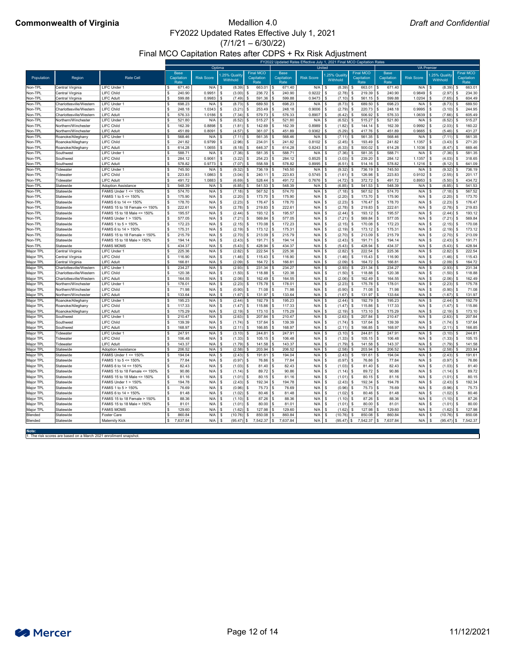$(7/1/21 - 6/30/22)$ 

Final MCO Capitation Rates after CDPS + Rx Risk Adjustment

# **Commonwealth of Virginia** Medallion 4.0

**Note:**

1. The risk scores are based on a March 2021 enrollment snapshot.



|                        |                                            |                                          | FY2022 Updated Rates Effective July 1, 2021 Final MCO Capitation Rates<br><b>VA Premier</b> |                   |                                            |                                        |                                   |                        |                          |                                        |                                   |                   |                                  |                                        |
|------------------------|--------------------------------------------|------------------------------------------|---------------------------------------------------------------------------------------------|-------------------|--------------------------------------------|----------------------------------------|-----------------------------------|------------------------|--------------------------|----------------------------------------|-----------------------------------|-------------------|----------------------------------|----------------------------------------|
|                        |                                            |                                          |                                                                                             | Optima            |                                            |                                        |                                   |                        | United                   |                                        |                                   |                   |                                  |                                        |
| Population             | Region                                     | <b>Rate Cell</b>                         | <b>Base</b><br>Capitation<br>Rate                                                           | <b>Risk Score</b> | 1.25% Quality<br>Withhold                  | <b>Final MCO</b><br>Capitation<br>Rate | <b>Base</b><br>Capitation<br>Rate | <b>Risk Score</b>      | .25% Quality<br>Withhold | <b>Final MCO</b><br>Capitation<br>Rate | <b>Base</b><br>Capitation<br>Rate | <b>Risk Score</b> | .25% Quality<br>Withhold         | <b>Final MCO</b><br>Capitation<br>Rate |
| Non-TPL                | <b>Central Virginia</b>                    | <b>LIFC Under 1</b>                      | 671.40                                                                                      | N/A               | -\$<br>(8.39)                              | 663.01<br>\$                           | 671.40<br>8                       | N/A                    | (8.39)                   | $663.01$ \ \$                          | 671.40                            | N/A               | - \$<br>(8.39)                   | 663.01                                 |
| Non-TPL                | Central Virginia                           | <b>LIFC Child</b>                        | \$<br>240.90                                                                                | 0.9951            | $(3.00)$ \$<br>- \$                        | $236.72$ \$                            | 240.90                            | $0.9222$ \$            | $(2.78)$ \$              | 219.39                                 | 240.90                            | 0.9849            | (2.97)<br>- \$                   | 234.30<br>-S                           |
| Non-TPL                | Central Virginia                           | <b>LIFC Adult</b>                        | \$<br>599.88                                                                                | 0.9983            | $(7.49)$ \$<br>- \$                        | 591.36                                 | 599.88                            | $0.9473$ \$            | (7.10)                   | 561.15                                 | 599.88<br>S.                      | 1.0204            | (7.65)<br>- \$                   | 604.49                                 |
| Non-TPL                | Charlottesville/Western                    | LIFC Under 1                             | \$<br>698.23                                                                                | N/A               | $(8.73)$ \$<br>-\$                         | 689.50                                 | 698.23                            | $N/A$ $\sqrt$          | $(8.73)$ \$              | 689.50                                 | 698.23                            | N/A               | (8.73)<br>- \$                   | 689.50                                 |
| Non-TPL                | Charlottesville/Western                    | <b>LIFC Child</b>                        | \$<br>248.18                                                                                | 1.0343            | (3.21)<br>- \$                             | 253.49<br>- \$                         | 248.18                            | $0.9006$ \$            | (2.79)                   | 220.73                                 | 248.18                            | 0.9995            | (3.10)<br>- \$                   | 244.95                                 |
| Non-TPL                | Charlottesville/Western                    | <b>LIFC Adult</b>                        | $\mathfrak{S}$<br>576.33                                                                    | 1.0186            | $(7.34)$ \$<br>-\$                         | 579.73                                 | 576.33                            | 0.8907                 | (6.42)<br>- \$           | 506.92                                 | 576.33                            | 1.0639            | (7.66)<br>- \$                   | 605.49                                 |
| Non-TPL                | Northern/Winchester                        | <b>LIFC Under 1</b>                      | \$<br>521.80                                                                                | N/A               | $(6.52)$ \$<br>-\$                         | 515.27                                 | 521.80                            | N/A                    | (6.52)<br>- \$           | 515.27                                 | 521.80                            | N/A               | (6.52)<br>- \$                   | 515.27                                 |
| Non-TPL                | Northern/Winchester                        | <b>LIFC Child</b>                        | \$<br>162.39                                                                                | 0.8898            | -\$<br>$(1.81)$ \$                         | $142.69$ \ \$                          | 162.39                            | $0.8989$ \$            | $(1.82)$ \$              | 144.14                                 | 162.39                            | 0.9992            | - \$<br>(2.03)                   | 160.22                                 |
| Non-TPL                | Northern/Winchester                        | <b>LIFC Adult</b>                        | $\boldsymbol{\mathsf{S}}$<br>451.89                                                         | 0.8091            | $(4.57)$ \$<br>-\$                         | $361.07$ \ \$                          | 451.89                            | $0.9362$ \$            | $(5.29)$ \$              | 417.76                                 | 451.89                            | 0.9665            | - \$<br>(5.46)                   | 431.27<br>\$                           |
| Non-TPL                | Roanoke/Alleghany                          | LIFC Under 1                             | \$<br>568.46                                                                                | N/A               | -\$<br>$(7.11)$ \$                         | $561.35$ \$                            | 568.46                            | $N/A$ \$               | $(7.11)$ \$              | 561.35                                 | 568.46                            | N/A               | (7.11)<br>- \$                   | 561.35                                 |
| Non-TPL                | Roanoke/Alleghany                          | <b>LIFC Child</b>                        | \$<br>241.82                                                                                | 0.9799            | $(2.96)$ \$<br>-\$                         | $234.01$ \\$                           | 241.82                            | $0.8102$ \$            | $(2.45)$ \$              | 193.49                                 | 241.82                            | 1.1357            | (3.43)<br>- \$                   | 271.20<br>\$.                          |
| Non-TPL                | Roanoke/Alleghany                          | <b>LIFC Adult</b>                        | \$<br>614.28                                                                                | 1.0655            | $(8.18)$ \$<br>- \$                        | 646.37   \$                            | 614.28                            | $0.8243$ \$            | $(6.33)$ \$              | 500.02                                 | 614.28                            | 1.1036            | (8.47)<br>- \$                   | 669.46                                 |
| Non-TPL                | Southwest                                  | LIFC Under 1                             | \$<br>588.71                                                                                | N/A               | $(7.36)$ \$<br>-\$                         | 581.35                                 | 588.71                            | $N/A$ \$               | (7.36)                   | 581.35                                 | 588.71                            | N/A               | (7.36)<br>- \$                   | 581.35                                 |
| Non-TPL                | Southwest                                  | <b>LIFC Child</b>                        | 284.12                                                                                      | 0.9061            | (3.22)<br>- \$                             | 254.23<br>-S                           | 284.12                            | $0.8525$   \$          | (3.03)                   | 239.20                                 | 284.12                            | 1.1357            | (4.03)<br>- \$                   | 318.65                                 |
| Non-TPL                | Southwest                                  | <b>LIFC Adult</b>                        | \$<br>578.82                                                                                | 0.9773            | $(7.07)$ \$<br>-\$                         | 558.59                                 | 578.82                            | $0.8995$ \$            | $(6.51)$ \$              | 514.16                                 | 578.82                            | 1.1216            | (8.12)<br>- \$                   | 641.09                                 |
| Non-TPL                | Tidewater                                  | <b>LIFC Under 1</b>                      | \$<br>745.50                                                                                | N/A               | $(9.32)$ \$<br>-\$                         | 736.19                                 | 745.50                            | N/A                    | (9.32)                   | 736.19                                 | 745.50                            | N/A               | (9.32)<br>- \$                   | 736.19                                 |
| Non-TPL                | Tidewater                                  | <b>LIFC Child</b>                        | 223.83<br>\$                                                                                | 1.0863            | -\$<br>$(3.04)$ \$                         | $240.11$ \\$                           | 223.83                            | $0.5745$ \$            | $(1.61)$ \$              | 126.98                                 | 223.83                            | 0.9102            | (2.55)<br>- \$                   | 201.17                                 |
| Non-TPL                | Tidewater                                  | <b>LIFC Adult</b>                        | \$<br>491.72                                                                                | 1.0883            | $(6.69)$ \$<br>- \$                        | 528.44                                 | 491.72<br>l S                     | $0.7676$ \$            | $(4.72)$ \$              | 372.72                                 | 491.72<br>S                       | 0.8953            | - \$<br>(5.50)                   | 434.72                                 |
| Non-TPL                | Statewide                                  | <b>Adoption Assistance</b>               | \$<br>548.39                                                                                | N/A               | \$<br>$(6.85)$ \$                          | $541.53$ \$                            | 548.39                            | $N/A$ \$               | $(6.85)$ \$              | $541.53$ \$                            | 548.39                            | $N/A$ \$          | (6.85)                           | 541.53                                 |
| Non-TPL                | Statewide                                  | FAMIS Under 1 <= 150%                    | \$<br>574.70                                                                                | N/A               | -\$<br>$(7.18)$ \$                         | $567.52$ \$                            | 574.70                            | $N/A$ \$               | $(7.18)$ \$              | 567.52                                 | 574.70<br>-SS                     | N/A               | (7.18)<br>- \$                   | 567.52                                 |
| Non-TPL                | Statewide                                  | FAMIS 1 to $5 \le 150\%$                 | 175.90<br>\$                                                                                | N/A               | $(2.20)$ \$<br>-\$                         | $173.70$ \\$                           | 175.90                            | N/A                    | (2.20)<br>- \$           | 173.70                                 | 175.90                            | N/A               | - \$<br>(2.20)                   | 173.70                                 |
| Non-TPL                | Statewide                                  | FAMIS 6 to 14 <= 150%                    | \$<br>178.70                                                                                | N/A               | $(2.23)$ \$<br>-\$                         | 176.47                                 | 178.70<br>l \$                    | N/A                    | (2.23)<br>-\$            | 176.47                                 | 178.70                            | N/A               | (2.23)<br>- \$                   | 176.47                                 |
| Non-TPL                | Statewide                                  | FAMIS 15 to 18 Female <= 150%            | 222.61<br>\$                                                                                | N/A               | (2.78)<br>-\$                              | 219.83<br>- \$                         | 222.61                            | N/A                    | (2.78)<br>- \$           | 219.83                                 | 222.61                            | N/A               | (2.78)<br>- \$                   | 219.83                                 |
| Non-TPL                | Statewide                                  | FAMIS 15 to 18 Male <= 150%              | 195.57                                                                                      | N/A               | -\$<br>$(2.44)$ \$                         | 193.12                                 | 195.57<br>∣\$                     | N/A                    | (2.44)<br>- \$           | 193.12                                 | 195.57                            | N/A               | (2.44)<br>- \$                   | 193.12                                 |
| Non-TPL                | Statewide                                  | <b>FAMIS Under 1 &gt; 150%</b>           | 577.05                                                                                      | N/A               | $(7.21)$ \$<br>-\$                         | $569.84$ \ \$                          | 577.05                            | N/A                    | (7.21)<br>- \$           | 569.84                                 | 577.05                            | N/A               | (7.21)<br>- \$                   | 569.84                                 |
| Non-TPL                | Statewide                                  | FAMIS 1 to 5 > 150%                      | \$<br>172.23                                                                                | N/A               | \$<br>$(2.15)$ \$                          | $170.08$ \$                            | 172.23                            | N/A                    | $(2.15)$ \$<br>- \$      | 170.08                                 | 172.23<br>S                       | N/A               | - \$<br>(2.15)                   | 170.08<br>-\$                          |
| Non-TPL                | Statewide                                  | FAMIS 6 to 14 > 150%                     | 175.31                                                                                      | N/A               | (2.19)<br>- \$                             | $173.12$ \$<br>\$                      | 175.31                            | N/A                    | $(2.19)$ \$<br>- \$      | 173.12                                 | 175.31                            | N/A               | (2.19)<br>- \$                   | 173.12<br>\$                           |
| Non-TPL                | Statewide                                  | FAMIS 15 to 18 Female > 150%             | \$<br>215.79                                                                                | N/A               | \$<br>$(2.70)$ \$                          | $213.09$ \ \$                          | 215.79                            | N/A                    | - \$<br>(2.70)           | 213.09                                 | 215.79                            | N/A               | - \$<br>(2.70)                   | 213.09<br>\$.                          |
| Non-TPL                | Statewide                                  | FAMIS 15 to 18 Male > 150%               | \$<br>194.14                                                                                | N/A               | $(2.43)$ \$<br>- \$                        | $191.71$ \$                            | 194.14                            | $N/A$ \$               | $(2.43)$ \$              | 191.71                                 | 194.14                            | N/A               | (2.43)<br>- \$                   | 191.71<br>\$                           |
| Non-TPL                | Statewide                                  | <b>FAMIS MOMS</b>                        | 434.37<br>\$                                                                                | N/A               | $(5.43)$ \$<br>- \$                        | 428.94                                 | 434.37                            | $N/A$ \$               | (5.43)                   | 428.94                                 | 434.37                            | N/A               | (5.43)<br>- \$                   | 428.94                                 |
| Major TPL              | Central Virginia                           | <b>LIFC Under 1</b>                      | \$<br>225.36                                                                                | N/A               | $(2.82)$ \$<br>-\$                         | 222.54                                 | 225.36                            | $N/A$ \$               | (2.82)                   | 222.54                                 | 225.36                            | N/A               | (2.82)<br>- \$                   | 222.54                                 |
| Major TPL              | Central Virginia                           | <b>LIFC Child</b>                        | 116.90                                                                                      | N/A               | $(1.46)$ \$<br>- \$                        |                                        | 116.90                            | N/A                    | (1.46)<br>- \$           | 115.43                                 | 116.90                            | N/A               | (1.46)<br>- \$                   | 115.43                                 |
| Major TPL              | Central Virginia                           | <b>LIFC Adult</b>                        | 166.81                                                                                      | N/A               | $(2.09)$ \$<br>-\$                         | 164.72                                 | 166.81                            | $N/A$ \$               | (2.09)                   | 164.72                                 | 166.81                            | N/A               | -\$<br>(2.09)                    | 164.72                                 |
| Major TPL              | Charlottesville/Western                    | LIFC Under 1                             | $\boldsymbol{\mathsf{S}}$<br>234.27                                                         | N/A               | $(2.93)$ \$<br>-\$                         | 231.34                                 | 234.27                            | $N/A$ \$               | (2.93)                   | 231.34                                 | 234.27                            | N/A               | (2.93)<br>- \$                   | 231.34                                 |
| Major TPL              | Charlottesville/Western                    | <b>LIFC Child</b>                        | \$<br>120.38                                                                                | N/A               | $(1.50)$ \$<br>-\$                         | 118.88                                 | 120.38                            | N/A                    | $(1.50)$ \$<br>- \$      | 118.88                                 | 120.38                            | N/A               | - \$<br>(1.50)                   | 118.88                                 |
| Major TPL              | Charlottesville/Western                    | <b>LIFC Adult</b><br><b>LIFC Under 1</b> | 164.55<br>\$                                                                                | N/A               | $(2.06)$ \$<br>-\$                         | $162.49$ \ \$                          | 164.55                            | $N/A$   \$             | $(2.06)$ \$              | 162.49                                 | 164.55                            | N/A<br>N/A        | (2.06)<br>- \$                   | 162.49<br>175.78                       |
| Major TPL              | Northern/Winchester<br>Northern/Winchester | <b>LIFC Child</b>                        | 178.01<br>\$<br>71.98                                                                       | N/A               | $(2.23)$ \$<br>-\$                         | $175.78$ \$                            | 178.01<br>71.98                   | $N/A$ \$               | (2.23)                   | 175.78                                 | 178.01                            | N/A               | (2.23)<br>- \$                   | 71.08<br>\$.                           |
| Major TPL              | Northern/Winchester                        | <b>LIFC Adult</b>                        | \$<br>133.64                                                                                | N/A<br>N/A        | $(0.90)$ \$<br>- \$<br>$(1.67)$ \$<br>- \$ | 71.08<br>131.97                        | 8<br>133.64                       | $N/A$   \$<br>$N/A$ \$ | $(0.90)$ \$<br>(1.67)    | 71.08<br>131.97                        | 71.98<br>133.64                   | N/A               | (0.90)<br>- \$<br>(1.67)<br>- \$ | 131.97                                 |
| Major TPL<br>Major TPL | Roanoke/Alleghany                          | <b>LIFC Under 1</b>                      | $\mathfrak{L}$<br>195.23                                                                    | N/A               | $(2.44)$ \$<br>- \$                        | 192.79                                 | 195.23                            | $N/A$ \$               | (2.44)                   | 192.79                                 | 195.23                            | N/A               | (2.44)<br>- \$                   | 192.79                                 |
| Major TPL              | Roanoke/Alleghany                          | <b>LIFC Child</b>                        | 117.33                                                                                      | N/A               | - \$<br>$(1.47)$ \$                        | 115.86                                 | 117.33                            | N/A                    | (1.47)<br>- \$           | 115.86                                 | 117.33                            | N/A               | (1.47)<br>- \$                   | 115.86                                 |
| Major TPL              | Roanoke/Alleghany                          | <b>LIFC Adult</b>                        | 175.29                                                                                      | N/A               | $(2.19)$ \$<br>- \$                        | 173.10                                 | 175.29                            | N/A                    | (2.19)<br>- \$           | 173.10                                 | 175.29                            | N/A               | - \$<br>(2.19)                   | 173.10                                 |
| Major TPL              | Southwest                                  | <b>LIFC Under 1</b>                      | $\boldsymbol{\mathsf{S}}$<br>210.47                                                         | N/A               | $(2.63)$ \$<br>- \$                        | 207.84                                 | 210.47                            | $N/A$ \$               | (2.63)                   | 207.84                                 | 210.47                            | N/A               | (2.63)<br>-\$                    | 207.84                                 |
| Major TPL              | Southwest                                  | <b>LIFC Child</b>                        | 139.39<br>\$                                                                                | N/A               | $(1.74)$ \$<br>-\$                         | $137.64$ \ \$                          | 139.39                            | N/A                    | (1.74)<br>- \$           | 137.64                                 | 139.39                            | N/A               | - \$<br>(1.74)                   | 137.64                                 |
| Major TPL              | Southwest                                  | <b>LIFC Adult</b>                        | \$<br>168.97                                                                                | N/A               | $(2.11)$ \$<br>-\$                         | 166.85                                 | 168.97<br>∣ \$                    | $N/A$ $\sqrt$          | $(2.11)$ \$              | 166.85                                 | 168.97                            | N/A               | (2.11)<br>- \$                   | 166.85                                 |
| Major TPL              | Tidewater                                  | <b>LIFC Under 1</b>                      | -\$<br>247.91                                                                               | N/A               | -\$<br>$(3.10)$ \$                         | $244.81$ \ \$                          | 247.91                            | $N/A$ \$               | (3.10)                   | 244.81                                 | 247.91                            | N/A               | - \$<br>(3.10)                   | 244.81                                 |
| Major TPL              | Tidewater                                  | <b>LIFC Child</b>                        | \$<br>106.48                                                                                | N/A               | $(1.33)$ \$<br>- \$                        | $105.15$ \$                            | 106.48                            | $N/A$   \$             | $(1.33)$ \$              | 105.15                                 | 106.48                            | N/A               | (1.33)<br>- \$                   | 105.15                                 |
| Major TPL              | Tidewater                                  | <b>LIFC Adult</b>                        | $\mathfrak{L}$<br>143.37                                                                    | N/A               | $(1.79)$ \$<br>- \$                        | 141.58                                 | 143.37                            | $N/A$ \$               | $(1.79)$ \$              | 141.58                                 | 143.37                            | N/A               | (1.79)<br>- \$                   | 141.58                                 |
| Major TPL              | Statewide                                  | <b>Adoption Assistance</b>               | $\boldsymbol{\mathsf{s}}$<br>206.52                                                         | N/A               | $(2.58)$ \$<br>-\$                         | 203.94                                 | 206.52                            | $N/A$ \$               | $(2.58)$ \$              | 203.94                                 | 206.52                            | N/A               | (2.58)<br>- \$                   | 203.94                                 |
| Major TPL              | Statewide                                  | <b>FAMIS Under 1 &lt;= 150%</b>          | \$<br>194.04                                                                                | N/A               | $(2.43)$ \$<br>- \$                        | 191.61                                 | 194.04                            | $N/A$ \$               | (2.43)                   | 191.61                                 | 194.04                            | N/A               | (2.43)<br>- \$                   | 191.61                                 |
| Major TPL              | Statewide                                  | FAMIS 1 to $5 \le 150\%$                 | 77.84                                                                                       | N/A               | $(0.97)$ \$<br>- \$                        | 76.86                                  | 77.84                             | N/A                    | (0.97)<br>- \$           | 76.86                                  | 77.84                             | N/A               | (0.97)<br>- \$                   | 76.86                                  |
| Major TPL              | Statewide                                  | FAMIS 6 to 14 <= 150%                    | 82.43                                                                                       | N/A               | - \$<br>$(1.03)$ \$                        | 81.40                                  | 82.43                             | N/A                    | $(1.03)$ \$<br>- \$      | 81.40                                  | 82.43                             | N/A               | (1.03)<br>- \$                   | 81.40                                  |
| Major TPL              | Statewide                                  | FAMIS 15 to 18 Female <= 150%            | 90.86<br>-\$                                                                                | N/A               | -\$<br>$(1.14)$ \$                         | $89.72$ \$                             | 90.86                             | N/A                    | $(1.14)$ \$<br>- \$      | 89.72                                  | 90.86                             | N/A               | - \$<br>(1.14)                   | 89.72<br>\$                            |
| Major TPL              | Statewide                                  | FAMIS 15 to 18 Male <= 150%              | 81.16                                                                                       | N/A               | - \$<br>$(1.01)$ \$                        | $80.15$ \$                             | 81.16                             | N/A                    | $(1.01)$ \$<br>- \$      | 80.15                                  | 81.16                             | N/A               | - \$<br>(1.01)                   | 80.15<br>-\$                           |
| Major TPL              | Statewide                                  | <b>FAMIS Under 1 &gt; 150%</b>           | 194.78                                                                                      | N/A               | -\$<br>$(2.43)$ \$                         |                                        | 194.78                            | N/A                    | (2.43)                   | 192.34                                 | 194.78                            | N/A               | - \$<br>(2.43)                   | 192.34                                 |
| Major TPL              | Statewide                                  | FAMIS 1 to 5 > 150%                      | \$<br>76.69                                                                                 | N/A               | $(0.96)$ \$<br>- \$                        | $75.73$ \$                             | 76.69                             | N/A                    | $(0.96)$ \$<br>- \$      | 75.73                                  | 76.69                             | N/A               | (0.96)<br>- \$                   | 75.73                                  |
| Major TPL              | Statewide                                  | FAMIS 6 to 14 > 150%                     | 81.48                                                                                       | $N/A$ \$          | $(1.02)$ \$                                | $80.46$ \ \ \$                         | 81.48                             | $N/A$ $\sqrt{3}$       | $(1.02)$ \$              | 80.46                                  | 81.48                             | N/A               | (1.02)<br>- \$                   | 80.46<br>\$                            |
| Major TPL              | Statewide                                  | FAMIS 15 to 18 Female > 150%             | \$<br>88.36                                                                                 | N/A               | $(1.10)$ \$<br>- \$                        | $87.26$ \$                             | 88.36                             | $N/A$ \$               | $(1.10)$ \$              | 87.26                                  | 88.36<br>\$                       | N/A               | $(1.10)$ \$<br>- \$              | 87.26                                  |
| Major TPL              | Statewide                                  | FAMIS 15 to 18 Male > 150%               | \$<br>81.01                                                                                 | N/A               | -\$<br>$(1.01)$ \$                         | 80.00                                  | 81.01                             | $N/A$ \$               | $(1.01)$ \$              | 80.00                                  | 81.01                             | N/A               | - \$<br>(1.01)                   | 80.00<br>\$                            |
| Major TPL              | Statewide                                  | <b>FAMIS MOMS</b>                        | \$<br>129.60                                                                                | N/A               | $(1.62)$ \$<br>\$                          | 127.98                                 | 129.60<br>∣\$                     | $N/A$ \$               | $(1.62)$ \$              | 127.98                                 | 129.60<br>\$                      | N/A               | - \$<br>(1.62)                   | 127.98<br>\$                           |
| <b>Blended</b>         | Statewide                                  | <b>Foster Care</b>                       | \$<br>860.84                                                                                | N/A               | $(10.76)$ \$<br>\$                         | 850.08                                 | 860.84<br>∣\$                     | $N/A$ \$               | $(10.76)$ \$             | $850.08$ \$                            | 860.84                            | N/A               | (10.76)<br>- \$                  | 850.08<br>\$                           |
| <b>Blended</b>         | Statewide                                  | <b>Maternity Kick</b>                    | \$<br>7,637.84                                                                              | $N/A$ \$          | $(95.47)$ \$                               | 7,542.37 \$                            | 7,637.84                          | $N/A$ \$               | $(95.47)$ \$             | $7,542.37$ \$                          | 7,637.84                          | $N/A$ \$          | $(95.47)$ \$                     | 7,542.37                               |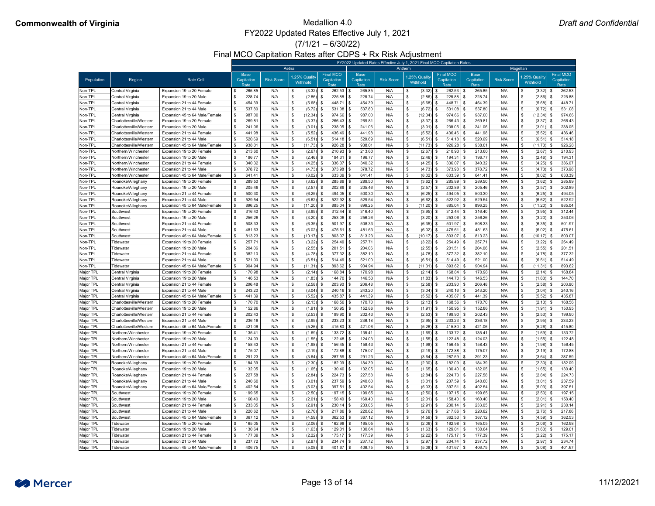(7/1/21 – 6/30/22)

### Final MCO Capitation Rates after CDPS + Rx Risk Adjustment

|                        |                                                    |                                                             |                                   | FY2022 Updated Rates Effective July 1, 2021 Final MCO Capitation Rates |                           |                                        |                                   |                   |                          |                                        |                                   |                   |                          |                                        |  |  |
|------------------------|----------------------------------------------------|-------------------------------------------------------------|-----------------------------------|------------------------------------------------------------------------|---------------------------|----------------------------------------|-----------------------------------|-------------------|--------------------------|----------------------------------------|-----------------------------------|-------------------|--------------------------|----------------------------------------|--|--|
|                        |                                                    |                                                             |                                   | Aetna                                                                  |                           |                                        |                                   | Anthem            |                          |                                        | Magellan                          |                   |                          |                                        |  |  |
| Population             | Region                                             | <b>Rate Cell</b>                                            | <b>Base</b><br>Capitation<br>Rate | <b>Risk Score</b>                                                      | 1.25% Quality<br>Withhold | <b>Final MCO</b><br>Capitation<br>Rate | <b>Base</b><br>Capitation<br>Rate | <b>Risk Score</b> | 1.25% Qualit<br>Withhold | <b>Final MCO</b><br>Capitation<br>Rate | <b>Base</b><br>Capitation<br>Rate | <b>Risk Score</b> | .25% Quality<br>Withhold | <b>Final MCO</b><br>Capitation<br>Rate |  |  |
| Non-TPL                | Central Virginia                                   | Expansion 19 to 20 Female                                   | 265.85                            | N/A                                                                    | (3.32)                    | $262.53$ \ \$                          | 265.85                            | N/A               | (3.32)                   | 262.53                                 | 265.85                            | N/A               | (3.32)                   | 262.53                                 |  |  |
| Non-TPL                | Central Virginia                                   | Expansion 19 to 20 Male                                     | 228.74                            | N/A                                                                    | (2.86)                    | 225.88                                 | 228.74                            | N/A               | (2.86)                   | 225.88                                 | 228.74                            | N/A               | (2.86)                   | 225.88                                 |  |  |
| Non-TPL                | Central Virginia                                   | Expansion 21 to 44 Female                                   | 454.39                            | N/A                                                                    | (5.68)                    | 448.71                                 | 454.39                            | N/A               | (5.68)                   | 448.71                                 | 454.39                            | N/A               | (5.68)                   | 448.71                                 |  |  |
| Non-TPL                | Central Virginia                                   | Expansion 21 to 44 Male                                     | 537.80                            | N/A                                                                    | (6.72)                    | 531.08                                 | 537.80                            | N/A               | (6.72)                   | $531.08$ \\$                           | 537.80                            | N/A               | (6.72)                   | 531.08                                 |  |  |
| Non-TPL                | Central Virginia                                   | Expansion 45 to 64 Male/Female                              | 987.00                            | N/A                                                                    | (12.34)                   | 974.66                                 | 987.00                            | N/A               | (12.34)                  | $974.66$ \ \$                          | 987.00                            | N/A               | (12.34)                  | 974.66                                 |  |  |
| Non-TPL                | Charlottesville/Westerr                            | Expansion 19 to 20 Female                                   | 269.8'                            | N/A                                                                    | (3.37)                    | 266.43                                 | 269.81                            | N/A               | (3.37)                   | 266.43                                 | 269.81                            | N/A               | (3.37)                   | 266.43                                 |  |  |
| Non-TPL                | Charlottesville/Westerr                            | Expansion 19 to 20 Male                                     | 241.06                            | N/A                                                                    | (3.01)                    | 238.05                                 | 241.06                            | N/A               | (3.01)                   | 238.05                                 | 241.06                            | N/A               | (3.01)                   | 238.05                                 |  |  |
| Non-TPL                | Charlottesville/Western                            | Expansion 21 to 44 Female                                   | 441.98                            | N/A                                                                    | (5.52)                    | 436.46                                 | 441.98                            | N/A               | (5.52)                   | 436.46                                 | 441.98                            | N/A               | (5.52)                   | 436.46                                 |  |  |
| Non-TPL                | Charlottesville/Western                            | Expansion 21 to 44 Male                                     | 520.69                            | N/A                                                                    | (6.51)                    | 514.18                                 | 520.69                            | N/A               | (6.51)                   | 514.18                                 | 520.69                            | N/A               | (6.51)                   | 514.18                                 |  |  |
| Non-TPL                | Charlottesville/Westerr                            | Expansion 45 to 64 Male/Female                              | $938.0^{\circ}$                   | N/A                                                                    | (11.73)                   | 926.28                                 | 938.01                            | N/A               | (11.73)                  | $926.28$ \$                            | 938.01                            | N/A               | (11.73)                  | 926.28                                 |  |  |
| Non-TPL                | Northern/Winchester                                | Expansion 19 to 20 Female                                   | 213.60                            | N/A                                                                    | (2.67)                    | 210.93                                 | 213.60                            | N/A               | (2.67)                   | 210.93                                 | 213.60                            | N/A               | (2.67)                   | 210.93                                 |  |  |
| Non-TPL                | Northern/Winchester                                | Expansion 19 to 20 Male                                     | 196.77                            | N/A                                                                    | (2.46)                    | 194.31                                 | 196.77                            | N/A               | (2.46)                   | 194.31                                 | 196.77                            | N/A               | (2.46)                   | 194.31                                 |  |  |
| Non-TPL                | Northern/Winchester                                | Expansion 21 to 44 Female                                   | 340.32                            | N/A                                                                    | (4.25)                    | 336.07                                 | 340.32                            | N/A               | (4.25)                   | 336.07                                 | 340.32                            | N/A               | (4.25)                   | 336.07                                 |  |  |
| Non-TPL                | Northern/Winchester                                | Expansion 21 to 44 Male                                     | 378.72                            | N/A                                                                    | (4.73)                    | 373.98                                 | 378.72                            | N/A               | (4.73)                   | 373.98                                 | 378.72                            | N/A               | (4.73)                   | 373.98                                 |  |  |
| Non-TPL                | Northern/Winchester                                | Expansion 45 to 64 Male/Female                              | 641.41                            | N/A                                                                    | (8.02)                    | 633.39                                 | 641.41                            | N/A               | (8.02)                   | 633.39                                 | 641.41                            | N/A               | (8.02)                   | 633.39                                 |  |  |
| Non-TPL                | Roanoke/Alleghany                                  | Expansion 19 to 20 Female                                   | 289.50                            | N/A                                                                    | (3.62)                    | 285.89                                 | 289.50                            | N/A               | (3.62)                   | 285.89                                 | 289.50                            | N/A               | (3.62)                   | 285.89                                 |  |  |
| Non-TPL                | Roanoke/Alleghany                                  | Expansion 19 to 20 Male                                     | 205.46                            | N/A                                                                    | (2.57)                    | 202.89                                 | 205.46                            | N/A               | (2.57)                   | 202.89                                 | 205.46                            | N/A               | (2.57)                   | 202.89                                 |  |  |
| Non-TPL                | Roanoke/Alleghany                                  | Expansion 21 to 44 Female                                   | 500.30                            | N/A                                                                    | (6.25)                    | 494.05                                 | 500.30                            | N/A               | (6.25)                   | $494.05$ \\$                           | 500.30                            | N/A               | (6.25)                   | 494.05                                 |  |  |
| Non-TPL                | Roanoke/Alleghany                                  | Expansion 21 to 44 Male                                     | 529.54                            | N/A                                                                    | (6.62)                    | 522.92                                 | 529.54                            | N/A               | (6.62)                   | 522.92                                 | 529.54                            | N/A               | (6.62)                   | 522.92                                 |  |  |
| Non-TPL                | Roanoke/Alleghany                                  | Expansion 45 to 64 Male/Female                              | 896.25                            | N/A                                                                    | (11.20)                   | 885.04                                 | 896.25                            | N/A               | (11.20)                  | 885.04                                 | 896.25                            | N/A               | (11.20)                  | 885.04                                 |  |  |
| Non-TPL                | Southwest                                          | Expansion 19 to 20 Female                                   | 316.40                            | N/A                                                                    | (3.95)                    | $312.44$   \$                          | 316.40                            | N/A               | (3.95)                   | 312.44                                 | 316.40                            | N/A               | (3.95)                   | 312.44                                 |  |  |
| Non-TPL                | Southwest                                          | Expansion 19 to 20 Male                                     | 256.26                            | N/A                                                                    | (3.20)                    | 253.06                                 | 256.26                            | N/A               | (3.20)                   | $253.06$ \$                            | 256.26                            | N/A               | (3.20)                   | 253.06                                 |  |  |
| Non-TPL                | Southwest                                          | Expansion 21 to 44 Female                                   | 508.33                            | N/A                                                                    | (6.35)                    | 501.97                                 | 508.33                            | N/A               | (6.35)                   | 501.97                                 | 508.33                            | N/A               | (6.35)                   | 501.97                                 |  |  |
| Non-TPL                | Southwest                                          | Expansion 21 to 44 Male                                     | 481.63                            | N/A                                                                    | (6.02)                    | 475.61                                 | 481.63                            | N/A               | (6.02)                   | 475.61                                 | 481.63                            | N/A               | (6.02)                   | 475.61                                 |  |  |
| Non-TPL                | Southwest                                          | Expansion 45 to 64 Male/Female                              | 813.23                            | N/A                                                                    | $(10.17)$ \$              | 803.07                                 | 813.23                            | N/A               | (10.17)                  | 803.07                                 | 813.23                            | N/A               | (10.17)                  | 803.07<br>  \$                         |  |  |
| Non-TPI                | Tidewater                                          | Expansion 19 to 20 Female                                   | 257.7'                            | N/A                                                                    | (3.22)                    | 254.49                                 | 257.71                            | N/A               | (3.22)                   | $254.49$ \ \$                          | 257.7                             | N/A               | (3.22)                   | 254.49                                 |  |  |
| Non-TPL                | Tidewater                                          | Expansion 19 to 20 Male                                     | 204.06                            | N/A                                                                    | $(2.55)$ \$               | 201.51                                 | 204.06                            | N/A               | (2.55)                   | 201.51                                 | 204.06                            | N/A               | $(2.55)$ \$              | 201.51                                 |  |  |
| Non-TPL                | Tidewater                                          | Expansion 21 to 44 Female                                   | 382.10                            | N/A                                                                    | (4.78)                    | 377.32                                 | 382.10                            | N/A               | (4.78)                   | 377.32                                 | 382.10                            | N/A               | $(4.78)$ \$              | 377.32                                 |  |  |
| Non-TPL                | Tidewater                                          | Expansion 21 to 44 Male                                     | 521.00                            | N/A                                                                    | (6.51)                    | 514.49                                 | 521.00                            | N/A               | (6.51)                   | $514.49$ \ \$                          | 521.00                            | N/A               | (6.51)                   | 514.49<br>l \$                         |  |  |
| Non-TPL                | Tidewater                                          | Expansion 45 to 64 Male/Female                              | 904.94                            | N/A                                                                    | (11.31)                   | $893.62$ \$                            | 904.94                            | N/A               | (11.31)                  | $893.62$   \$                          | 904.94                            | N/A               | $(11.31)$ \$             | 893.62                                 |  |  |
| Major TPL              | <b>Central Virginia</b>                            | Expansion 19 to 20 Female                                   | 170.98                            | N/A                                                                    | $(2.14)$ \$               | $168.84$ \ \$                          | 170.98                            | N/A               | (2.14)                   | $168.84$   \$                          | 170.98                            | N/A               | $(2.14)$ \$              | 168.84                                 |  |  |
| Major TPL              | Central Virginia                                   | Expansion 19 to 20 Male                                     | 146.53                            | N/A                                                                    | (1.83)                    | $144.70$ \ \$                          | 146.53                            | N/A               | (1.83)                   | $144.70$ \ \$                          | 146.53                            | N/A               | $(1.83)$ \$              | 144.70                                 |  |  |
| Major TPL              | Central Virginia                                   | Expansion 21 to 44 Female                                   | 206.48                            | N/A                                                                    | (2.58)                    | 203.90                                 | 206.48                            | N/A               | (2.58)                   | 203.90                                 | 206.48                            | N/A               | $(2.58)$ \$              | 203.90                                 |  |  |
| Major TPL              | Central Virginia                                   | Expansion 21 to 44 Male                                     | 243.20                            | N/A                                                                    | (3.04)                    | 240.16                                 | 243.20                            | N/A               | (3.04)                   | $240.16$ \ \$                          | 243.20                            | N/A               | (3.04)                   | 240.16                                 |  |  |
| Major TPL              | Central Virginia<br>Charlottesville/Western        | Expansion 45 to 64 Male/Female<br>Expansion 19 to 20 Female | 441.39<br>170.70                  | N/A                                                                    | (5.52)                    | 435.87                                 | 441.39<br>170.70                  | N/A<br>N/A        | (5.52)                   | $435.87$ \ \$<br>168.56                | 441.39                            | N/A               | $(5.52)$ \$              | 435.87<br>168.56                       |  |  |
| Major TPL              |                                                    |                                                             |                                   | N/A                                                                    | (2.13)                    | 168.56                                 |                                   |                   | (2.13)                   |                                        | 170.70                            | N/A               | (2.13)                   | 150.95                                 |  |  |
| Major TPL<br>Major TPL | Charlottesville/Western<br>Charlottesville/Westerr | Expansion 19 to 20 Male<br>Expansion 21 to 44 Female        | 152.86<br>202.43                  | N/A<br>N/A                                                             | (1.91)<br>(2.53)          | 150.95<br>199.90                       | 152.86<br>202.43                  | N/A<br>N/A        | (1.91)<br>(2.53)         | $150.95$   \$<br>199.90                | 152.86<br>202.43                  | N/A<br>N/A        | $(1.91)$ \$<br>(2.53)    | 199.90                                 |  |  |
| Major TPL              | Charlottesville/Western                            | Expansion 21 to 44 Male                                     | 236.18                            | N/A                                                                    | (2.95)                    | 233.23                                 | 236.18                            | N/A               | (2.95)                   | 233.23                                 | 236.18                            | N/A               | $(2.95)$ \$              | 233.23                                 |  |  |
| Major TPL              | Charlottesville/Western                            | Expansion 45 to 64 Male/Female                              | 421.06                            | N/A                                                                    | (5.26)                    | $415.80$ \ \$                          | 421.06                            | N/A               | (5.26)                   | $415.80$   \$                          | 421.06                            | N/A               | $(5.26)$ \$              | 415.80                                 |  |  |
| Major TPL              | Northern/Winchester                                | Expansion 19 to 20 Female                                   | 135.41                            | N/A                                                                    | (1.69)                    | 133.72   \$                            | 135.41                            | N/A               | (1.69)                   | $133.72$ \\$                           | 135.41                            | N/A               | $(1.69)$ \$              | 133.72                                 |  |  |
| Major TPL              | Northern/Winchester                                | Expansion 19 to 20 Male                                     | 124.03                            | N/A                                                                    | (1.55)                    | 122.48                                 | 124.03                            | N/A               | (1.55)                   | 122.48                                 | 124.03                            | N/A               | $(1.55)$ \$              | 122.48                                 |  |  |
| Major TPL              | Northern/Winchester                                | Expansion 21 to 44 Female                                   | 158.43                            | N/A                                                                    | (1.98)                    | 156.45                                 | 158.43                            | N/A               | (1.98)                   | $156.45$ \$                            | 158.43                            | N/A               | $(1.98)$ \$              | 156.45                                 |  |  |
| Major TPL              | Northern/Winchester                                | Expansion 21 to 44 Male                                     | 175.07                            | N/A                                                                    | (2.19)                    | 172.88                                 | 175.07                            | N/A               | (2.19)                   | 172.88                                 | 175.07                            | N/A               | (2.19)                   | 172.88                                 |  |  |
| Major TPL              | Northern/Winchester                                | Expansion 45 to 64 Male/Female                              | 291.23                            | N/A                                                                    | (3.64)                    | 287.59                                 | 291.23                            | N/A               | (3.64)                   | 287.59                                 | 291.23                            | N/A               | $(3.64)$ \$              | 287.59                                 |  |  |
| Major TPL              | Roanoke/Alleghany                                  | Expansion 19 to 20 Female                                   | 184.39                            | N/A                                                                    | (2.30)                    | 182.09                                 | 184.39                            | N/A               | (2.30)                   | 182.09                                 | 184.39                            | N/A               | (2.30)                   | 182.09                                 |  |  |
| Major TPL              | Roanoke/Alleghany                                  | Expansion 19 to 20 Male                                     | 132.05                            | N/A                                                                    | (1.65)                    | 130.40                                 | 132.05                            | N/A               | (1.65)                   | $130.40$ \ \$                          | 132.05                            | N/A               | $(1.65)$ \$              | 130.40                                 |  |  |
| Major TPL              | Roanoke/Alleghany                                  | Expansion 21 to 44 Female                                   | 227.58                            | N/A                                                                    | (2.84)                    | 224.73                                 | 227.58                            | N/A               | (2.84)                   | 224.73                                 | 227.58                            | N/A               | (2.84)                   | 224.73                                 |  |  |
| Major TPL              | Roanoke/Alleghany                                  | Expansion 21 to 44 Male                                     | 240.60                            | N/A                                                                    | (3.01)                    | 237.59                                 | 240.60                            | N/A               | (3.01)                   | $237.59$ \$                            | 240.60                            | N/A               | (3.01)                   | 237.59                                 |  |  |
| Major TPL              | Roanoke/Alleghany                                  | Expansion 45 to 64 Male/Female                              | 402.54                            | N/A                                                                    | (5.03)                    | 397.51                                 | 402.54                            | N/A               | (5.03)                   | 397.51                                 | 402.54                            | N/A               | $(5.03)$ \$              | 397.51                                 |  |  |
| Major TPL              | Southwest                                          | Expansion 19 to 20 Female                                   | 199.65                            | N/A                                                                    | (2.50)                    | 197.15                                 | 199.65                            | N/A               | (2.50)                   | $197.15$ \$                            | 199.65                            | N/A               | (2.50)                   | 197.15                                 |  |  |
| Major TPL              | Southwest                                          | Expansion 19 to 20 Male                                     | 160.40                            | N/A                                                                    | (2.01)                    | 158.40                                 | 160.40                            | N/A               | (2.01)                   | 158.40                                 | 160.40                            | N/A               | (2.01)                   | 158.40                                 |  |  |
| Major TPL              | Southwest                                          | Expansion 21 to 44 Female                                   | 233.05                            | N/A                                                                    | (2.91)                    | 230.14                                 | 233.05                            | N/A               | (2.91)                   | 230.14                                 | 233.05                            | N/A               | (2.91)                   | 230.14                                 |  |  |
| Major TPL              | Southwest                                          | Expansion 21 to 44 Male                                     | 220.62                            | N/A                                                                    | (2.76)                    | 217.86                                 | 220.62                            | N/A               | (2.76)                   | 217.86                                 | 220.62                            | N/A               | (2.76)                   | 217.86                                 |  |  |
| Major TPL              | Southwest                                          | Expansion 45 to 64 Male/Female                              | 367.12                            | N/A                                                                    | (4.59)                    | $362.53$ \$                            | 367.12                            | N/A               | (4.59)                   | 362.53                                 | 367.12                            | N/A               | $(4.59)$ \$              | 362.53                                 |  |  |
| Major TPL              | Tidewater                                          | Expansion 19 to 20 Female                                   | 165.05                            | N/A                                                                    | $(2.06)$ \$               | $162.98$ \$                            | 165.05                            | N/A               | (2.06)                   | $162.98$ \$                            | 165.05                            | N/A               | $(2.06)$ \$              | 162.98                                 |  |  |
| Major TPL              | Tidewater                                          | Expansion 19 to 20 Male                                     | 130.64                            | N/A                                                                    | $(1.63)$ \$               | $129.01$ \$                            | 130.64                            | N/A               | $(1.63)$ \$              | $129.01$ \$                            | 130.64                            | N/A               | $(1.63)$ \$              | 129.01                                 |  |  |
| Major TPL              | Tidewater                                          | Expansion 21 to 44 Female                                   | 177.39                            | N/A                                                                    | (2.22)                    | $175.17$ \ \$                          | 177.39                            | N/A               | (2.22)                   | $175.17$ \\$                           | 177.39                            | N/A               | (2.22)                   | 175.17                                 |  |  |
| Major TPL              | Tidewater                                          | Expansion 21 to 44 Male                                     | 237.72                            | N/A                                                                    | $(2.97)$ \$               |                                        | 237.72                            | N/A               | (2.97)                   | $234.74$ \\$                           | 237.72                            | N/A               | $(2.97)$ \$              | 234.74                                 |  |  |
| Major TPL              | Tidewater                                          | Expansion 45 to 64 Male/Female                              | 406.75                            | N/A                                                                    | (5.08)                    |                                        | 406.75                            | N/A               | (5.08)                   | 401.67                                 | 406.75<br>$\sqrt{3}$              | N/A               | $(5.08)$ \$              | 401.67                                 |  |  |